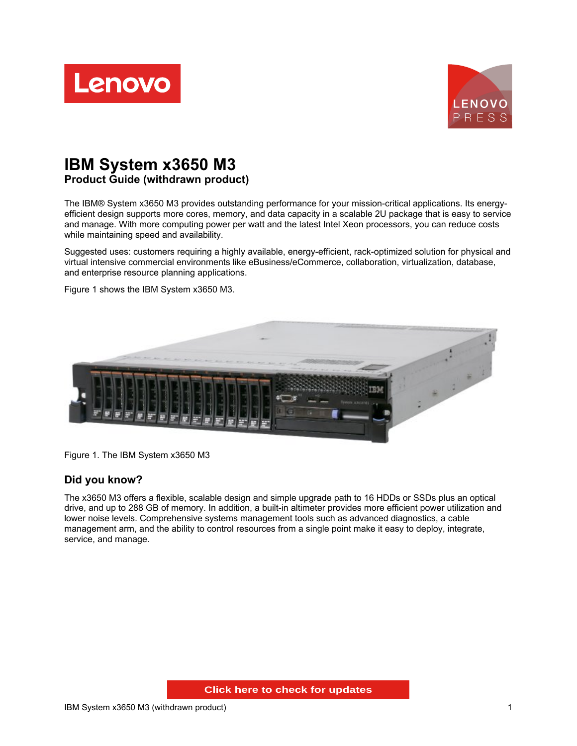



# **IBM System x3650 M3 Product Guide (withdrawn product)**

The IBM® System x3650 M3 provides outstanding performance for your mission-critical applications. Its energyefficient design supports more cores, memory, and data capacity in a scalable 2U package that is easy to service and manage. With more computing power per watt and the latest Intel Xeon processors, you can reduce costs while maintaining speed and availability.

Suggested uses: customers requiring a highly available, energy-efficient, rack-optimized solution for physical and virtual intensive commercial environments like eBusiness/eCommerce, collaboration, virtualization, database, and enterprise resource planning applications.

Figure 1 shows the IBM System x3650 M3.



Figure 1. The IBM System x3650 M3

### **Did you know?**

The x3650 M3 offers a flexible, scalable design and simple upgrade path to 16 HDDs or SSDs plus an optical drive, and up to 288 GB of memory. In addition, a built-in altimeter provides more efficient power utilization and lower noise levels. Comprehensive systems management tools such as advanced diagnostics, a cable management arm, and the ability to control resources from a single point make it easy to deploy, integrate, service, and manage.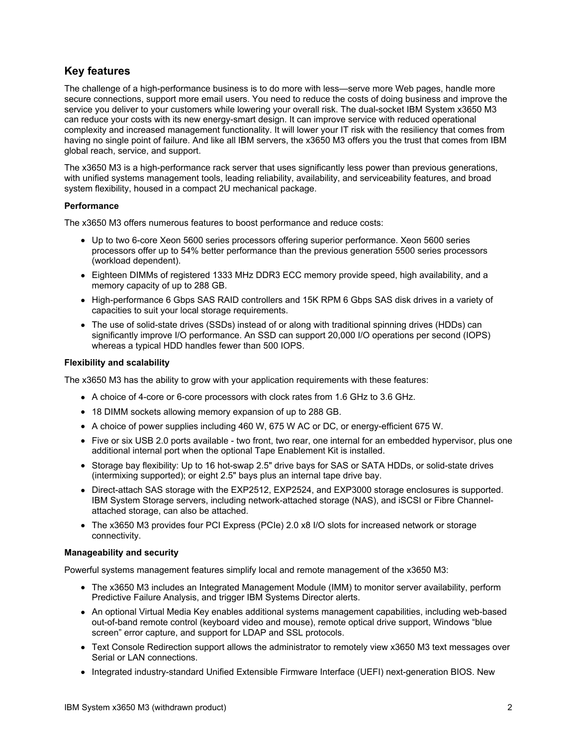## **Key features**

The challenge of a high-performance business is to do more with less—serve more Web pages, handle more secure connections, support more email users. You need to reduce the costs of doing business and improve the service you deliver to your customers while lowering your overall risk. The dual-socket IBM System x3650 M3 can reduce your costs with its new energy-smart design. It can improve service with reduced operational complexity and increased management functionality. It will lower your IT risk with the resiliency that comes from having no single point of failure. And like all IBM servers, the x3650 M3 offers you the trust that comes from IBM global reach, service, and support.

The x3650 M3 is a high-performance rack server that uses significantly less power than previous generations, with unified systems management tools, leading reliability, availability, and serviceability features, and broad system flexibility, housed in a compact 2U mechanical package.

#### **Performance**

The x3650 M3 offers numerous features to boost performance and reduce costs:

- Up to two 6-core Xeon 5600 series processors offering superior performance. Xeon 5600 series processors offer up to 54% better performance than the previous generation 5500 series processors (workload dependent).
- Eighteen DIMMs of registered 1333 MHz DDR3 ECC memory provide speed, high availability, and a memory capacity of up to 288 GB.
- High-performance 6 Gbps SAS RAID controllers and 15K RPM 6 Gbps SAS disk drives in a variety of capacities to suit your local storage requirements.
- The use of solid-state drives (SSDs) instead of or along with traditional spinning drives (HDDs) can significantly improve I/O performance. An SSD can support 20,000 I/O operations per second (IOPS) whereas a typical HDD handles fewer than 500 IOPS.

#### **Flexibility and scalability**

The x3650 M3 has the ability to grow with your application requirements with these features:

- A choice of 4-core or 6-core processors with clock rates from 1.6 GHz to 3.6 GHz.
- 18 DIMM sockets allowing memory expansion of up to 288 GB.
- A choice of power supplies including 460 W, 675 W AC or DC, or energy-efficient 675 W.
- Five or six USB 2.0 ports available two front, two rear, one internal for an embedded hypervisor, plus one additional internal port when the optional Tape Enablement Kit is installed.
- Storage bay flexibility: Up to 16 hot-swap 2.5" drive bays for SAS or SATA HDDs, or solid-state drives (intermixing supported); or eight 2.5" bays plus an internal tape drive bay.
- Direct-attach SAS storage with the EXP2512, EXP2524, and EXP3000 storage enclosures is supported. IBM System Storage servers, including network-attached storage (NAS), and iSCSI or Fibre Channelattached storage, can also be attached.
- The x3650 M3 provides four PCI Express (PCIe) 2.0 x8 I/O slots for increased network or storage connectivity.

#### **Manageability and security**

Powerful systems management features simplify local and remote management of the x3650 M3:

- The x3650 M3 includes an Integrated Management Module (IMM) to monitor server availability, perform Predictive Failure Analysis, and trigger IBM Systems Director alerts.
- An optional Virtual Media Key enables additional systems management capabilities, including web-based out-of-band remote control (keyboard video and mouse), remote optical drive support, Windows "blue screen" error capture, and support for LDAP and SSL protocols.
- Text Console Redirection support allows the administrator to remotely view x3650 M3 text messages over Serial or LAN connections.
- Integrated industry-standard Unified Extensible Firmware Interface (UEFI) next-generation BIOS. New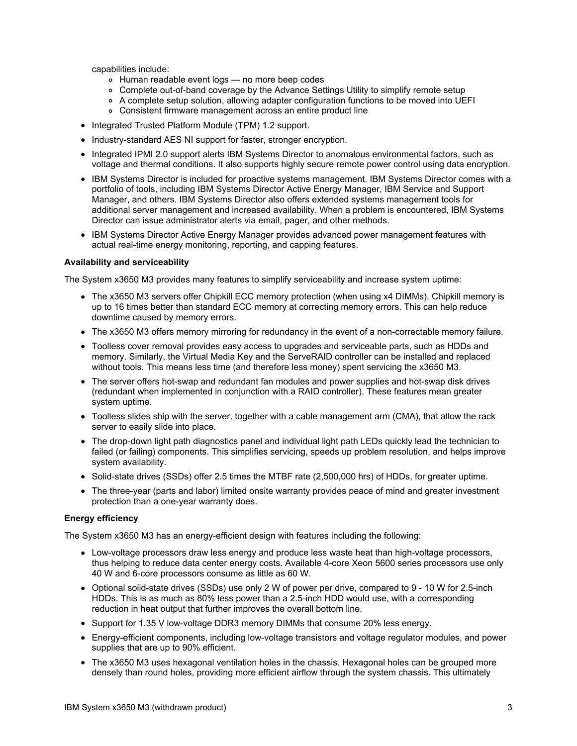capabilities include:

- Human readable event logs no more beep codes
- Complete out-of-band coverage by the Advance Settings Utility to simplify remote setup
- A complete setup solution, allowing adapter configuration functions to be moved into UEFI
- Consistent firmware management across an entire product line
- Integrated Trusted Platform Module (TPM) 1.2 support.
- Industry-standard AES NI support for faster, stronger encryption.
- Integrated IPMI 2.0 support alerts IBM Systems Director to anomalous environmental factors, such as voltage and thermal conditions. It also supports highly secure remote power control using data encryption.
- IBM Systems Director is included for proactive systems management. IBM Systems Director comes with a portfolio of tools, including IBM Systems Director Active Energy Manager, IBM Service and Support Manager, and others. IBM Systems Director also offers extended systems management tools for additional server management and increased availability. When a problem is encountered, IBM Systems Director can issue administrator alerts via email, pager, and other methods.
- IBM Systems Director Active Energy Manager provides advanced power management features with actual real-time energy monitoring, reporting, and capping features.

#### **Availability and serviceability**

The System x3650 M3 provides many features to simplify serviceability and increase system uptime:

- The x3650 M3 servers offer Chipkill ECC memory protection (when using x4 DIMMs). Chipkill memory is up to 16 times better than standard ECC memory at correcting memory errors. This can help reduce downtime caused by memory errors.
- The x3650 M3 offers memory mirroring for redundancy in the event of a non-correctable memory failure.
- Toolless cover removal provides easy access to upgrades and serviceable parts, such as HDDs and memory. Similarly, the Virtual Media Key and the ServeRAID controller can be installed and replaced without tools. This means less time (and therefore less money) spent servicing the x3650 M3.
- The server offers hot-swap and redundant fan modules and power supplies and hot-swap disk drives (redundant when implemented in conjunction with a RAID controller). These features mean greater system uptime.
- Toolless slides ship with the server, together with a cable management arm (CMA), that allow the rack server to easily slide into place.
- The drop-down light path diagnostics panel and individual light path LEDs quickly lead the technician to failed (or failing) components. This simplifies servicing, speeds up problem resolution, and helps improve system availability.
- Solid-state drives (SSDs) offer 2.5 times the MTBF rate (2,500,000 hrs) of HDDs, for greater uptime.
- The three-year (parts and labor) limited onsite warranty provides peace of mind and greater investment protection than a one-year warranty does.

#### **Energy efficiency**

The System x3650 M3 has an energy-efficient design with features including the following:

- Low-voltage processors draw less energy and produce less waste heat than high-voltage processors, thus helping to reduce data center energy costs. Available 4-core Xeon 5600 series processors use only 40 W and 6-core processors consume as little as 60 W.
- Optional solid-state drives (SSDs) use only 2 W of power per drive, compared to 9 10 W for 2.5-inch HDDs. This is as much as 80% less power than a 2.5-inch HDD would use, with a corresponding reduction in heat output that further improves the overall bottom line.
- Support for 1.35 V low-voltage DDR3 memory DIMMs that consume 20% less energy.
- Energy-efficient components, including low-voltage transistors and voltage regulator modules, and power supplies that are up to 90% efficient.
- The x3650 M3 uses hexagonal ventilation holes in the chassis. Hexagonal holes can be grouped more densely than round holes, providing more efficient airflow through the system chassis. This ultimately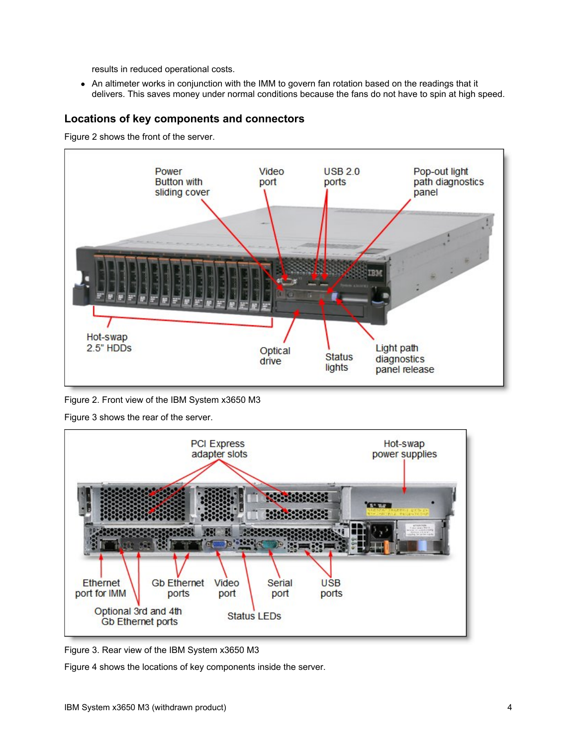results in reduced operational costs.

An altimeter works in conjunction with the IMM to govern fan rotation based on the readings that it delivers. This saves money under normal conditions because the fans do not have to spin at high speed.

## **Locations of key components and connectors**

Figure 2 shows the front of the server.



Figure 2. Front view of the IBM System x3650 M3

Figure 3 shows the rear of the server.



Figure 3. Rear view of the IBM System x3650 M3

Figure 4 shows the locations of key components inside the server.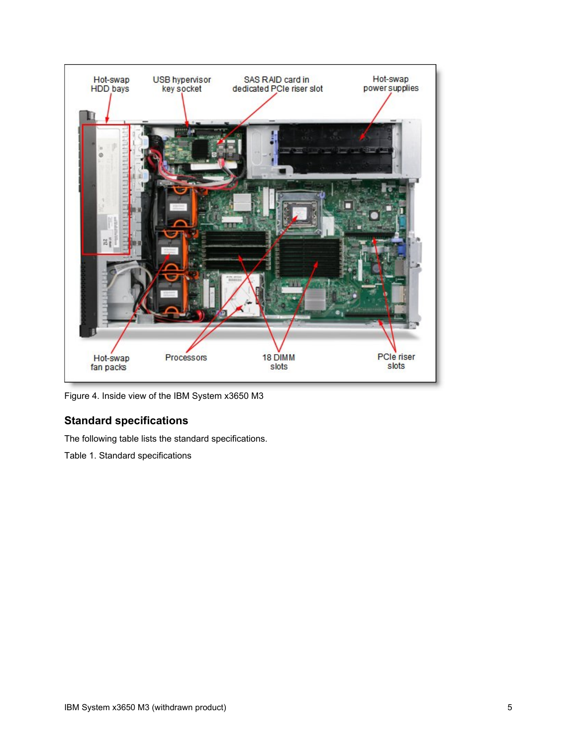

Figure 4. Inside view of the IBM System x3650 M3

## **Standard specifications**

The following table lists the standard specifications.

Table 1. Standard specifications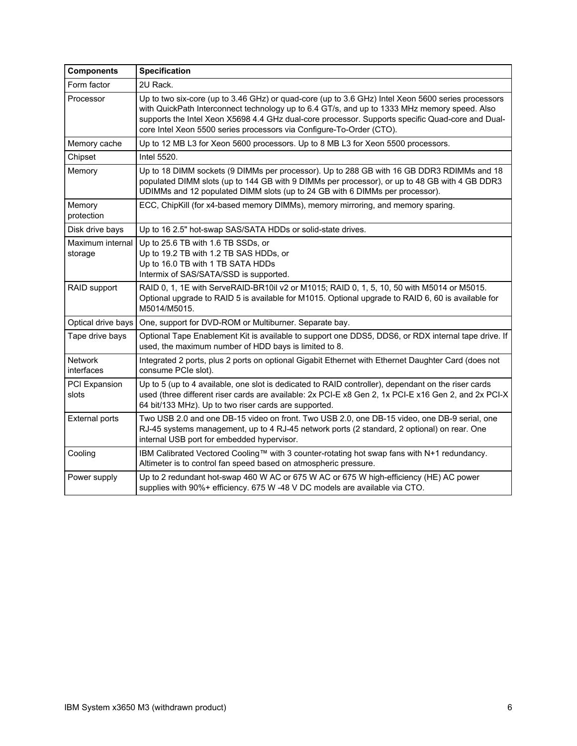| <b>Components</b>           | <b>Specification</b>                                                                                                                                                                                                                                                                                                                                                           |  |  |  |  |
|-----------------------------|--------------------------------------------------------------------------------------------------------------------------------------------------------------------------------------------------------------------------------------------------------------------------------------------------------------------------------------------------------------------------------|--|--|--|--|
| Form factor                 | 2U Rack.                                                                                                                                                                                                                                                                                                                                                                       |  |  |  |  |
| Processor                   | Up to two six-core (up to 3.46 GHz) or quad-core (up to 3.6 GHz) Intel Xeon 5600 series processors<br>with QuickPath Interconnect technology up to 6.4 GT/s, and up to 1333 MHz memory speed. Also<br>supports the Intel Xeon X5698 4.4 GHz dual-core processor. Supports specific Quad-core and Dual-<br>core Intel Xeon 5500 series processors via Configure-To-Order (CTO). |  |  |  |  |
| Memory cache                | Up to 12 MB L3 for Xeon 5600 processors. Up to 8 MB L3 for Xeon 5500 processors.                                                                                                                                                                                                                                                                                               |  |  |  |  |
| Chipset                     | Intel 5520.                                                                                                                                                                                                                                                                                                                                                                    |  |  |  |  |
| Memory                      | Up to 18 DIMM sockets (9 DIMMs per processor). Up to 288 GB with 16 GB DDR3 RDIMMs and 18<br>populated DIMM slots (up to 144 GB with 9 DIMMs per processor), or up to 48 GB with 4 GB DDR3<br>UDIMMs and 12 populated DIMM slots (up to 24 GB with 6 DIMMs per processor).                                                                                                     |  |  |  |  |
| Memory<br>protection        | ECC, ChipKill (for x4-based memory DIMMs), memory mirroring, and memory sparing.                                                                                                                                                                                                                                                                                               |  |  |  |  |
| Disk drive bays             | Up to 16 2.5" hot-swap SAS/SATA HDDs or solid-state drives.                                                                                                                                                                                                                                                                                                                    |  |  |  |  |
| Maximum internal<br>storage | Up to 25.6 TB with 1.6 TB SSDs, or<br>Up to 19.2 TB with 1.2 TB SAS HDDs, or<br>Up to 16.0 TB with 1 TB SATA HDDs<br>Intermix of SAS/SATA/SSD is supported.                                                                                                                                                                                                                    |  |  |  |  |
| RAID support                | RAID 0, 1, 1E with ServeRAID-BR10il v2 or M1015; RAID 0, 1, 5, 10, 50 with M5014 or M5015.<br>Optional upgrade to RAID 5 is available for M1015. Optional upgrade to RAID 6, 60 is available for<br>M5014/M5015.                                                                                                                                                               |  |  |  |  |
| Optical drive bays          | One, support for DVD-ROM or Multiburner. Separate bay.                                                                                                                                                                                                                                                                                                                         |  |  |  |  |
| Tape drive bays             | Optional Tape Enablement Kit is available to support one DDS5, DDS6, or RDX internal tape drive. If<br>used, the maximum number of HDD bays is limited to 8.                                                                                                                                                                                                                   |  |  |  |  |
| Network<br>interfaces       | Integrated 2 ports, plus 2 ports on optional Gigabit Ethernet with Ethernet Daughter Card (does not<br>consume PCIe slot).                                                                                                                                                                                                                                                     |  |  |  |  |
| PCI Expansion<br>slots      | Up to 5 (up to 4 available, one slot is dedicated to RAID controller), dependant on the riser cards<br>used (three different riser cards are available: 2x PCI-E x8 Gen 2, 1x PCI-E x16 Gen 2, and 2x PCI-X<br>64 bit/133 MHz). Up to two riser cards are supported.                                                                                                           |  |  |  |  |
| <b>External ports</b>       | Two USB 2.0 and one DB-15 video on front. Two USB 2.0, one DB-15 video, one DB-9 serial, one<br>RJ-45 systems management, up to 4 RJ-45 network ports (2 standard, 2 optional) on rear. One<br>internal USB port for embedded hypervisor.                                                                                                                                      |  |  |  |  |
| Cooling                     | IBM Calibrated Vectored Cooling™ with 3 counter-rotating hot swap fans with N+1 redundancy.<br>Altimeter is to control fan speed based on atmospheric pressure.                                                                                                                                                                                                                |  |  |  |  |
| Power supply                | Up to 2 redundant hot-swap 460 W AC or 675 W AC or 675 W high-efficiency (HE) AC power<br>supplies with 90%+ efficiency. 675 W -48 V DC models are available via CTO.                                                                                                                                                                                                          |  |  |  |  |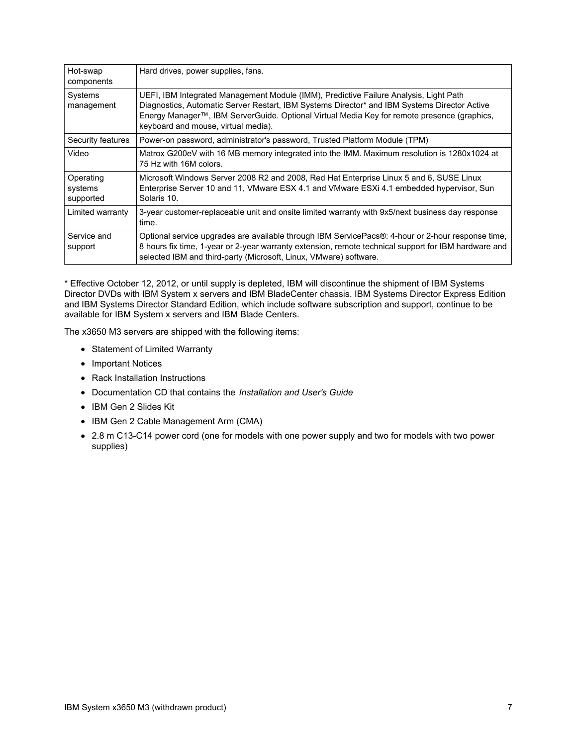| Hot-swap<br>components            | Hard drives, power supplies, fans.                                                                                                                                                                                                                                                                                          |
|-----------------------------------|-----------------------------------------------------------------------------------------------------------------------------------------------------------------------------------------------------------------------------------------------------------------------------------------------------------------------------|
| Systems<br>management             | UEFI, IBM Integrated Management Module (IMM), Predictive Failure Analysis, Light Path<br>Diagnostics, Automatic Server Restart, IBM Systems Director* and IBM Systems Director Active<br>Energy Manager™, IBM ServerGuide. Optional Virtual Media Key for remote presence (graphics,<br>keyboard and mouse, virtual media). |
| Security features                 | Power-on password, administrator's password, Trusted Platform Module (TPM)                                                                                                                                                                                                                                                  |
| Video                             | Matrox G200eV with 16 MB memory integrated into the IMM. Maximum resolution is 1280x1024 at<br>75 Hz with 16M colors.                                                                                                                                                                                                       |
| Operating<br>systems<br>supported | Microsoft Windows Server 2008 R2 and 2008, Red Hat Enterprise Linux 5 and 6, SUSE Linux<br>Enterprise Server 10 and 11, VMware ESX 4.1 and VMware ESXi 4.1 embedded hypervisor, Sun<br>Solaris 10.                                                                                                                          |
| Limited warranty                  | 3-year customer-replaceable unit and onsite limited warranty with 9x5/next business day response<br>time.                                                                                                                                                                                                                   |
| Service and<br>support            | Optional service upgrades are available through IBM ServicePacs®: 4-hour or 2-hour response time,<br>8 hours fix time, 1-year or 2-year warranty extension, remote technical support for IBM hardware and<br>selected IBM and third-party (Microsoft, Linux, VMware) software.                                              |

\* Effective October 12, 2012, or until supply is depleted, IBM will discontinue the shipment of IBM Systems Director DVDs with IBM System x servers and IBM BladeCenter chassis. IBM Systems Director Express Edition and IBM Systems Director Standard Edition, which include software subscription and support, continue to be available for IBM System x servers and IBM Blade Centers.

The x3650 M3 servers are shipped with the following items:

- Statement of Limited Warranty
- Important Notices
- Rack Installation Instructions
- Documentation CD that contains the *Installation and User's Guide*
- IBM Gen 2 Slides Kit
- IBM Gen 2 Cable Management Arm (CMA)
- 2.8 m C13-C14 power cord (one for models with one power supply and two for models with two power supplies)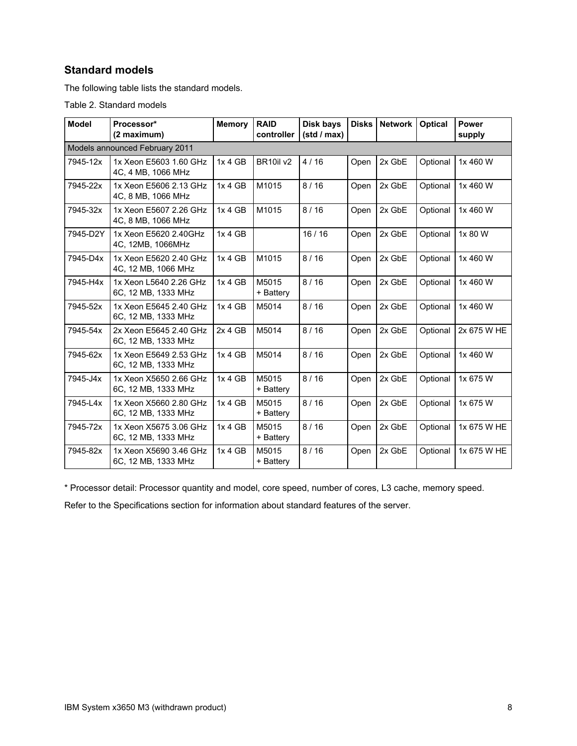## **Standard models**

The following table lists the standard models.

Table 2. Standard models

| <b>Model</b> | Processor*<br>(2 maximum)                     |         | <b>RAID</b><br>controller         | Disk bays<br>(stat / max) | <b>Disks</b> | <b>Network</b> | <b>Optical</b> | Power<br>supply |
|--------------|-----------------------------------------------|---------|-----------------------------------|---------------------------|--------------|----------------|----------------|-----------------|
|              |                                               |         |                                   |                           |              |                |                |                 |
|              | Models announced February 2011                |         |                                   |                           |              |                |                |                 |
| 7945-12x     | 1x Xeon E5603 1.60 GHz<br>4C, 4 MB, 1066 MHz  | 1x 4 GB | BR <sub>10il</sub> v <sub>2</sub> | 4/16                      | Open         | 2x GbE         | Optional       | 1x 460 W        |
| 7945-22x     | 1x Xeon E5606 2.13 GHz<br>4C, 8 MB, 1066 MHz  | 1x 4 GB | M1015                             | 8/16                      | Open         | 2x GbE         | Optional       | 1x 460 W        |
| 7945-32x     | 1x Xeon E5607 2.26 GHz<br>4C, 8 MB, 1066 MHz  | 1x 4 GB | M1015                             | 8/16                      | Open         | 2x GbE         | Optional       | 1x 460 W        |
| 7945-D2Y     | 1x Xeon E5620 2.40GHz<br>4C, 12MB, 1066MHz    | 1x 4 GB |                                   | 16/16                     | Open         | 2x GbE         | Optional       | 1x 80 W         |
| 7945-D4x     | 1x Xeon E5620 2.40 GHz<br>4C, 12 MB, 1066 MHz | 1x 4 GB | M1015                             | 8/16                      | Open         | 2x GbE         | Optional       | 1x 460 W        |
| 7945-H4x     | 1x Xeon L5640 2.26 GHz<br>6C, 12 MB, 1333 MHz | 1x 4 GB | M5015<br>+ Battery                | 8/16                      | Open         | 2x GbE         | Optional       | 1x 460 W        |
| 7945-52x     | 1x Xeon E5645 2.40 GHz<br>6C, 12 MB, 1333 MHz | 1x 4 GB | M5014                             | 8/16                      | Open         | 2x GbE         | Optional       | 1x 460 W        |
| 7945-54x     | 2x Xeon E5645 2.40 GHz<br>6C, 12 MB, 1333 MHz | 2x 4 GB | M5014                             | 8/16                      | Open         | 2x GbE         | Optional       | 2x 675 W HE     |
| 7945-62x     | 1x Xeon E5649 2.53 GHz<br>6C, 12 MB, 1333 MHz | 1x 4 GB | M5014                             | 8/16                      | Open         | 2x GbE         | Optional       | 1x 460 W        |
| 7945-J4x     | 1x Xeon X5650 2.66 GHz<br>6C, 12 MB, 1333 MHz | 1x 4 GB | M5015<br>+ Battery                | 8/16                      | Open         | 2x GbE         | Optional       | 1x 675 W        |
| 7945-L4x     | 1x Xeon X5660 2.80 GHz<br>6C, 12 MB, 1333 MHz | 1x 4 GB | M5015<br>+ Battery                | 8/16                      | Open         | 2x GbE         | Optional       | 1x 675 W        |
| 7945-72x     | 1x Xeon X5675 3.06 GHz<br>6C, 12 MB, 1333 MHz | 1x 4 GB | M5015<br>+ Battery                | 8/16                      | Open         | 2x GbE         | Optional       | 1x 675 W HE     |
| 7945-82x     | 1x Xeon X5690 3.46 GHz<br>6C, 12 MB, 1333 MHz | 1x 4 GB | M5015<br>+ Battery                | 8/16                      | Open         | 2x GbE         | Optional       | 1x 675 W HE     |

\* Processor detail: Processor quantity and model, core speed, number of cores, L3 cache, memory speed.

Refer to the Specifications section for information about standard features of the server.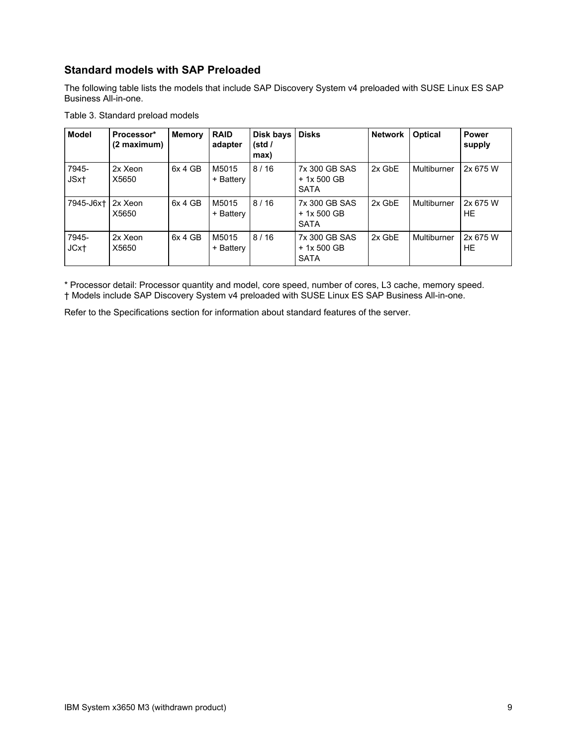## **Standard models with SAP Preloaded**

The following table lists the models that include SAP Discovery System v4 preloaded with SUSE Linux ES SAP Business All-in-one.

| Table 3. Standard preload models |  |  |  |  |
|----------------------------------|--|--|--|--|
|----------------------------------|--|--|--|--|

| <b>Model</b>              | Processor*<br>(2 maximum) | <b>Memory</b> | <b>RAID</b><br>adapter | Disk bays<br>(stat /<br>max) | <b>Disks</b>                                | <b>Network</b> | <b>Optical</b> | <b>Power</b><br>supply |
|---------------------------|---------------------------|---------------|------------------------|------------------------------|---------------------------------------------|----------------|----------------|------------------------|
| 7945-<br>JSx <sub>t</sub> | 2x Xeon<br>X5650          | 6x 4 GB       | M5015<br>+ Battery     | 8/16                         | 7x 300 GB SAS<br>$+1x500$ GB<br><b>SATA</b> | 2x GbE         | Multiburner    | 2x 675 W               |
| 7945-J6xt                 | 2x Xeon<br>X5650          | 6x 4 GB       | M5015<br>+ Battery     | 8/16                         | 7x 300 GB SAS<br>+ 1x 500 GB<br><b>SATA</b> | 2x GbE         | Multiburner    | 2x 675 W<br>HE         |
| 7945-<br>JCxt             | 2x Xeon<br>X5650          | 6x 4 GB       | M5015<br>+ Battery     | 8/16                         | 7x 300 GB SAS<br>$+1x500$ GB<br><b>SATA</b> | 2x GbE         | Multiburner    | 2x 675 W<br>HE         |

\* Processor detail: Processor quantity and model, core speed, number of cores, L3 cache, memory speed. † Models include SAP Discovery System v4 preloaded with SUSE Linux ES SAP Business All-in-one.

Refer to the Specifications section for information about standard features of the server.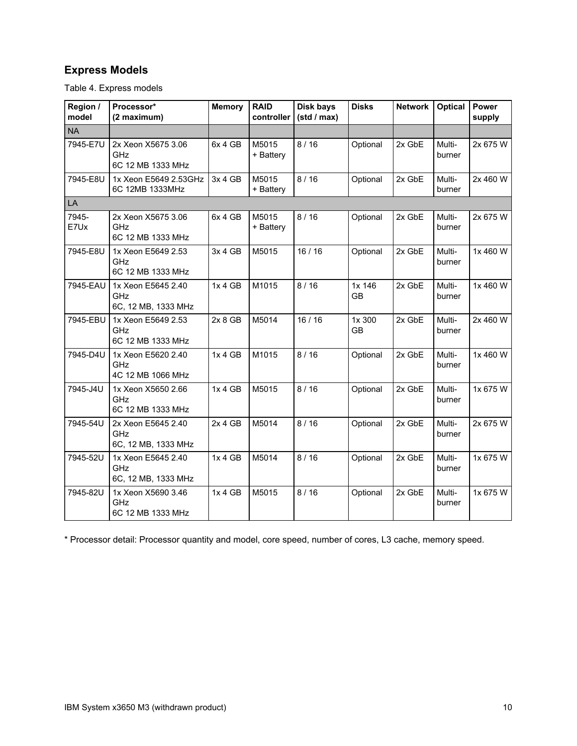## **Express Models**

Table 4. Express models

| Region /<br>model | Processor*<br>(2 maximum)                        | <b>Memory</b> | <b>RAID</b><br>controller | Disk bays<br>(stat / max) | <b>Disks</b>        | <b>Network</b> | <b>Optical</b>   | Power<br>supply |
|-------------------|--------------------------------------------------|---------------|---------------------------|---------------------------|---------------------|----------------|------------------|-----------------|
| <b>NA</b>         |                                                  |               |                           |                           |                     |                |                  |                 |
| 7945-E7U          | 2x Xeon X5675 3.06<br>GHz<br>6C 12 MB 1333 MHz   | 6x 4 GB       | M5015<br>+ Battery        | 8/16                      | Optional            | 2x GbE         | Multi-<br>burner | 2x 675 W        |
| 7945-E8U          | 1x Xeon E5649 2.53GHz<br>6C 12MB 1333MHz         | 3x 4 GB       | M5015<br>+ Battery        | 8/16                      | Optional            | 2x GbE         | Multi-<br>burner | 2x 460 W        |
| LA                |                                                  |               |                           |                           |                     |                |                  |                 |
| 7945-<br>E7Ux     | 2x Xeon X5675 3.06<br>GHz<br>6C 12 MB 1333 MHz   | 6x 4 GB       | M5015<br>+ Battery        | 8/16                      | Optional            | 2x GbE         | Multi-<br>burner | 2x 675 W        |
| 7945-E8U          | 1x Xeon E5649 2.53<br>GHz<br>6C 12 MB 1333 MHz   | 3x 4 GB       | M5015                     | 16/16                     | Optional            | 2x GbE         | Multi-<br>burner | 1x 460 W        |
| 7945-EAU          | 1x Xeon E5645 2.40<br>GHz<br>6C, 12 MB, 1333 MHz | 1x 4 GB       | M1015                     | 8/16                      | 1x 146<br>GB        | 2x GbE         | Multi-<br>burner | 1x 460 W        |
| 7945-EBU          | 1x Xeon E5649 2.53<br>GHz<br>6C 12 MB 1333 MHz   | 2x8GB         | M5014                     | 16/16                     | 1x 300<br><b>GB</b> | 2x GbE         | Multi-<br>burner | 2x 460 W        |
| 7945-D4U          | 1x Xeon E5620 2.40<br>GHz<br>4C 12 MB 1066 MHz   | 1x 4 GB       | M1015                     | 8/16                      | Optional            | 2x GbE         | Multi-<br>burner | 1x 460 W        |
| 7945-J4U          | 1x Xeon X5650 2.66<br>GHz<br>6C 12 MB 1333 MHz   | 1x 4 GB       | M5015                     | 8/16                      | Optional            | 2x GbE         | Multi-<br>burner | 1x 675 W        |
| 7945-54U          | 2x Xeon E5645 2.40<br>GHz<br>6C, 12 MB, 1333 MHz | 2x 4 GB       | M5014                     | 8/16                      | Optional            | 2x GbE         | Multi-<br>burner | 2x 675 W        |
| 7945-52U          | 1x Xeon E5645 2.40<br>GHz<br>6C, 12 MB, 1333 MHz | 1x 4 GB       | M5014                     | 8/16                      | Optional            | 2x GbE         | Multi-<br>burner | 1x 675 W        |
| 7945-82U          | 1x Xeon X5690 3.46<br>GHz<br>6C 12 MB 1333 MHz   | 1x 4 GB       | M5015                     | 8/16                      | Optional            | $2x$ GbE       | Multi-<br>burner | 1x 675 W        |

\* Processor detail: Processor quantity and model, core speed, number of cores, L3 cache, memory speed.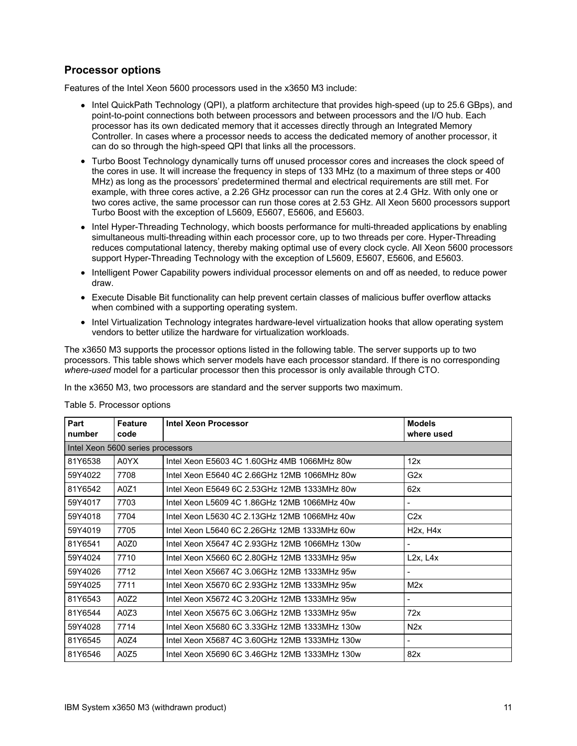### **Processor options**

Features of the Intel Xeon 5600 processors used in the x3650 M3 include:

- Intel QuickPath Technology (QPI), a platform architecture that provides high-speed (up to 25.6 GBps), and point-to-point connections both between processors and between processors and the I/O hub. Each processor has its own dedicated memory that it accesses directly through an Integrated Memory Controller. In cases where a processor needs to access the dedicated memory of another processor, it can do so through the high-speed QPI that links all the processors.
- Turbo Boost Technology dynamically turns off unused processor cores and increases the clock speed of the cores in use. It will increase the frequency in steps of 133 MHz (to a maximum of three steps or 400 MHz) as long as the processors' predetermined thermal and electrical requirements are still met. For example, with three cores active, a 2.26 GHz processor can run the cores at 2.4 GHz. With only one or two cores active, the same processor can run those cores at 2.53 GHz. All Xeon 5600 processors support Turbo Boost with the exception of L5609, E5607, E5606, and E5603.
- Intel Hyper-Threading Technology, which boosts performance for multi-threaded applications by enabling simultaneous multi-threading within each processor core, up to two threads per core. Hyper-Threading reduces computational latency, thereby making optimal use of every clock cycle. All Xeon 5600 processors support Hyper-Threading Technology with the exception of L5609, E5607, E5606, and E5603.
- Intelligent Power Capability powers individual processor elements on and off as needed, to reduce power draw.
- Execute Disable Bit functionality can help prevent certain classes of malicious buffer overflow attacks when combined with a supporting operating system.
- Intel Virtualization Technology integrates hardware-level virtualization hooks that allow operating system vendors to better utilize the hardware for virtualization workloads.

The x3650 M3 supports the processor options listed in the following table. The server supports up to two processors. This table shows which server models have each processor standard. If there is no corresponding *where-used* model for a particular processor then this processor is only available through CTO.

In the x3650 M3, two processors are standard and the server supports two maximum.

| Part<br>number | <b>Feature</b><br>code            | Intel Xeon Processor                          | <b>Models</b><br>where used |  |  |  |  |
|----------------|-----------------------------------|-----------------------------------------------|-----------------------------|--|--|--|--|
|                | Intel Xeon 5600 series processors |                                               |                             |  |  |  |  |
| 81Y6538        | A0YX                              | Intel Xeon E5603 4C 1.60GHz 4MB 1066MHz 80w   | 12x                         |  |  |  |  |
| 59Y4022        | 7708                              | Intel Xeon E5640 4C 2.66GHz 12MB 1066MHz 80w  | G2x                         |  |  |  |  |
| 81Y6542        | A0Z1                              | Intel Xeon E5649 6C 2.53GHz 12MB 1333MHz 80w  | 62x                         |  |  |  |  |
| 59Y4017        | 7703                              | Intel Xeon L5609 4C 1.86GHz 12MB 1066MHz 40w  |                             |  |  |  |  |
| 59Y4018        | 7704                              | Intel Xeon L5630 4C 2.13GHz 12MB 1066MHz 40w  | C2x                         |  |  |  |  |
| 59Y4019        | 7705                              | Intel Xeon L5640 6C 2.26GHz 12MB 1333MHz 60w  | H2x, H4x                    |  |  |  |  |
| 81Y6541        | A0Z0                              | Intel Xeon X5647 4C 2.93GHz 12MB 1066MHz 130w |                             |  |  |  |  |
| 59Y4024        | 7710                              | Intel Xeon X5660 6C 2.80GHz 12MB 1333MHz 95w  | L2x, L4x                    |  |  |  |  |
| 59Y4026        | 7712                              | Intel Xeon X5667 4C 3.06GHz 12MB 1333MHz 95w  |                             |  |  |  |  |
| 59Y4025        | 7711                              | Intel Xeon X5670 6C 2.93GHz 12MB 1333MHz 95w  | M2x                         |  |  |  |  |
| 81Y6543        | A0Z2                              | Intel Xeon X5672 4C 3.20GHz 12MB 1333MHz 95w  |                             |  |  |  |  |
| 81Y6544        | A0Z3                              | Intel Xeon X5675 6C 3.06GHz 12MB 1333MHz 95w  | 72x                         |  |  |  |  |
| 59Y4028        | 7714                              | Intel Xeon X5680 6C 3.33GHz 12MB 1333MHz 130w | N2x                         |  |  |  |  |
| 81Y6545        | A0Z4                              | Intel Xeon X5687 4C 3.60GHz 12MB 1333MHz 130w | $\overline{\phantom{a}}$    |  |  |  |  |
| 81Y6546        | A0Z5                              | Intel Xeon X5690 6C 3.46GHz 12MB 1333MHz 130w | 82x                         |  |  |  |  |

#### Table 5. Processor options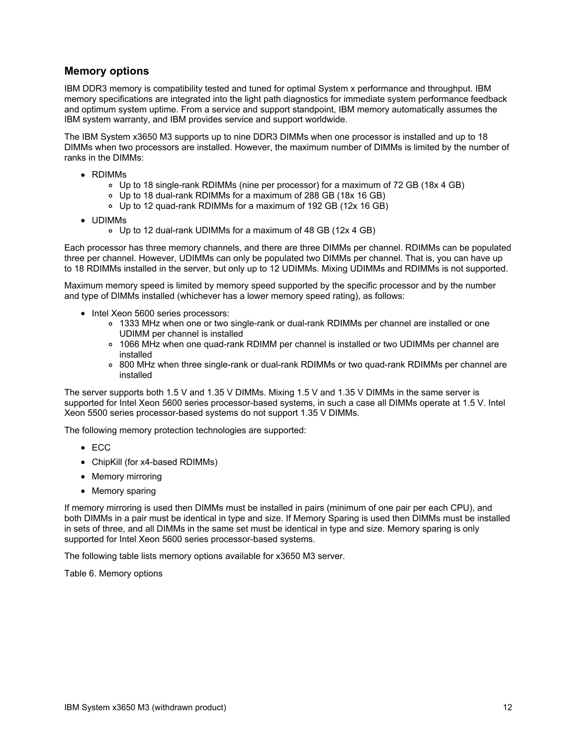#### **Memory options**

IBM DDR3 memory is compatibility tested and tuned for optimal System x performance and throughput. IBM memory specifications are integrated into the light path diagnostics for immediate system performance feedback and optimum system uptime. From a service and support standpoint, IBM memory automatically assumes the IBM system warranty, and IBM provides service and support worldwide.

The IBM System x3650 M3 supports up to nine DDR3 DIMMs when one processor is installed and up to 18 DIMMs when two processors are installed. However, the maximum number of DIMMs is limited by the number of ranks in the DIMMs:

- RDIMMs
	- Up to 18 single-rank RDIMMs (nine per processor) for a maximum of 72 GB (18x 4 GB)
	- Up to 18 dual-rank RDIMMs for a maximum of 288 GB (18x 16 GB)
	- Up to 12 quad-rank RDIMMs for a maximum of 192 GB (12x 16 GB)
- UDIMMs
	- Up to 12 dual-rank UDIMMs for a maximum of 48 GB (12x 4 GB)

Each processor has three memory channels, and there are three DIMMs per channel. RDIMMs can be populated three per channel. However, UDIMMs can only be populated two DIMMs per channel. That is, you can have up to 18 RDIMMs installed in the server, but only up to 12 UDIMMs. Mixing UDIMMs and RDIMMs is not supported.

Maximum memory speed is limited by memory speed supported by the specific processor and by the number and type of DIMMs installed (whichever has a lower memory speed rating), as follows:

- Intel Xeon 5600 series processors:
	- 1333 MHz when one or two single-rank or dual-rank RDIMMs per channel are installed or one UDIMM per channel is installed
	- 1066 MHz when one quad-rank RDIMM per channel is installed or two UDIMMs per channel are installed
	- 800 MHz when three single-rank or dual-rank RDIMMs or two quad-rank RDIMMs per channel are installed

The server supports both 1.5 V and 1.35 V DIMMs. Mixing 1.5 V and 1.35 V DIMMs in the same server is supported for Intel Xeon 5600 series processor-based systems, in such a case all DIMMs operate at 1.5 V. Intel Xeon 5500 series processor-based systems do not support 1.35 V DIMMs.

The following memory protection technologies are supported:

- ECC
- ChipKill (for x4-based RDIMMs)
- Memory mirroring
- Memory sparing

If memory mirroring is used then DIMMs must be installed in pairs (minimum of one pair per each CPU), and both DIMMs in a pair must be identical in type and size. If Memory Sparing is used then DIMMs must be installed in sets of three, and all DIMMs in the same set must be identical in type and size. Memory sparing is only supported for Intel Xeon 5600 series processor-based systems.

The following table lists memory options available for x3650 M3 server.

Table 6. Memory options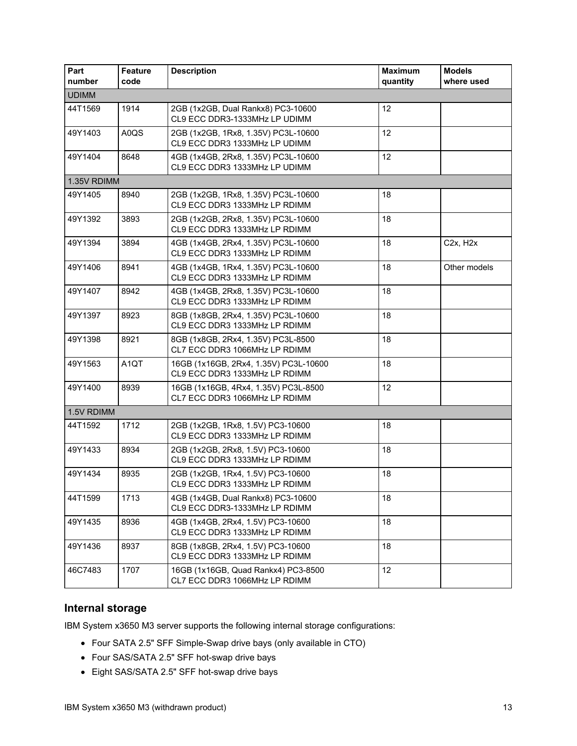| Part<br>number | Feature<br>code                                                                             | <b>Description</b>                                                    | <b>Maximum</b><br>quantity | <b>Models</b><br>where used       |
|----------------|---------------------------------------------------------------------------------------------|-----------------------------------------------------------------------|----------------------------|-----------------------------------|
| <b>UDIMM</b>   |                                                                                             |                                                                       |                            |                                   |
| 44T1569        | 1914                                                                                        | 2GB (1x2GB, Dual Rankx8) PC3-10600<br>CL9 ECC DDR3-1333MHz LP UDIMM   | 12                         |                                   |
| 49Y1403        | A0QS                                                                                        | 2GB (1x2GB, 1Rx8, 1.35V) PC3L-10600<br>CL9 ECC DDR3 1333MHz LP UDIMM  | 12                         |                                   |
| 49Y1404        | 8648                                                                                        | 4GB (1x4GB, 2Rx8, 1.35V) PC3L-10600<br>CL9 ECC DDR3 1333MHz LP UDIMM  | 12                         |                                   |
| 1.35V RDIMM    |                                                                                             |                                                                       |                            |                                   |
| 49Y1405        | 8940                                                                                        | 18                                                                    |                            |                                   |
| 49Y1392        | 3893                                                                                        | 2GB (1x2GB, 2Rx8, 1.35V) PC3L-10600<br>CL9 ECC DDR3 1333MHz LP RDIMM  | 18                         |                                   |
| 49Y1394        | 3894                                                                                        | 4GB (1x4GB, 2Rx4, 1.35V) PC3L-10600<br>CL9 ECC DDR3 1333MHz LP RDIMM  | 18                         | C <sub>2x</sub> , H <sub>2x</sub> |
| 49Y1406        | 8941                                                                                        | 4GB (1x4GB, 1Rx4, 1.35V) PC3L-10600<br>CL9 ECC DDR3 1333MHz LP RDIMM  | 18                         | Other models                      |
| 49Y1407        | 8942                                                                                        | 4GB (1x4GB, 2Rx8, 1.35V) PC3L-10600<br>CL9 ECC DDR3 1333MHz LP RDIMM  | 18                         |                                   |
| 49Y1397        | 8923                                                                                        | 8GB (1x8GB, 2Rx4, 1.35V) PC3L-10600<br>CL9 ECC DDR3 1333MHz LP RDIMM  | 18                         |                                   |
| 49Y1398        | 8921                                                                                        | 8GB (1x8GB, 2Rx4, 1.35V) PC3L-8500<br>CL7 ECC DDR3 1066MHz LP RDIMM   | 18                         |                                   |
| 49Y1563        | A <sub>1</sub> QT<br>16GB (1x16GB, 2Rx4, 1.35V) PC3L-10600<br>CL9 ECC DDR3 1333MHz LP RDIMM |                                                                       | 18                         |                                   |
| 49Y1400        | 8939                                                                                        | 16GB (1x16GB, 4Rx4, 1.35V) PC3L-8500<br>CL7 ECC DDR3 1066MHz LP RDIMM | 12                         |                                   |
| 1.5V RDIMM     |                                                                                             |                                                                       |                            |                                   |
| 44T1592        | 1712                                                                                        | 2GB (1x2GB, 1Rx8, 1.5V) PC3-10600<br>CL9 ECC DDR3 1333MHz LP RDIMM    | 18                         |                                   |
| 49Y1433        | 8934                                                                                        | 2GB (1x2GB, 2Rx8, 1.5V) PC3-10600<br>CL9 ECC DDR3 1333MHz LP RDIMM    | 18                         |                                   |
| 49Y1434        | 8935                                                                                        | 2GB (1x2GB, 1Rx4, 1.5V) PC3-10600<br>CL9 ECC DDR3 1333MHz LP RDIMM    | 18                         |                                   |
| 44T1599        | 1713                                                                                        | 4GB (1x4GB, Dual Rankx8) PC3-10600<br>CL9 ECC DDR3-1333MHz LP RDIMM   | 18                         |                                   |
| 49Y1435        | 8936                                                                                        | 4GB (1x4GB, 2Rx4, 1.5V) PC3-10600<br>CL9 ECC DDR3 1333MHz LP RDIMM    | 18                         |                                   |
| 49Y1436        | 8937                                                                                        | 8GB (1x8GB, 2Rx4, 1.5V) PC3-10600<br>CL9 ECC DDR3 1333MHz LP RDIMM    | 18                         |                                   |
| 46C7483        | 1707                                                                                        | 16GB (1x16GB, Quad Rankx4) PC3-8500<br>CL7 ECC DDR3 1066MHz LP RDIMM  | 12                         |                                   |

## **Internal storage**

IBM System x3650 M3 server supports the following internal storage configurations:

- Four SATA 2.5" SFF Simple-Swap drive bays (only available in CTO)
- Four SAS/SATA 2.5" SFF hot-swap drive bays
- Eight SAS/SATA 2.5" SFF hot-swap drive bays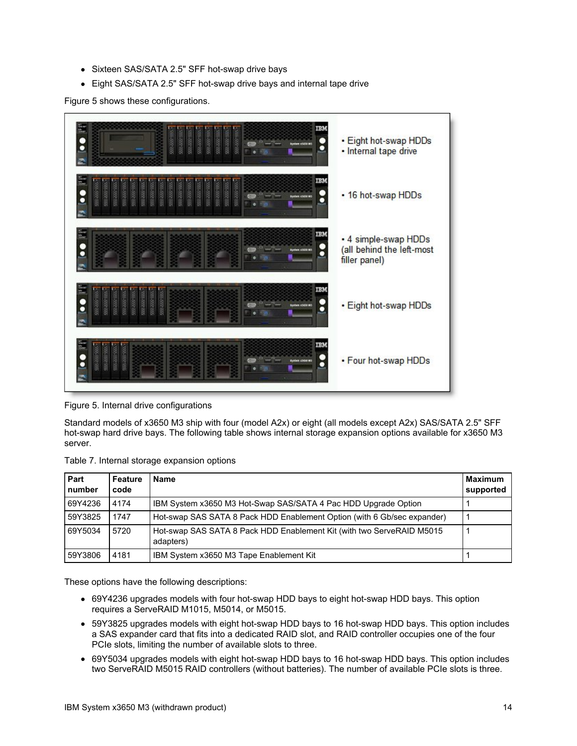- Sixteen SAS/SATA 2.5" SFF hot-swap drive bays
- Eight SAS/SATA 2.5" SFF hot-swap drive bays and internal tape drive

Figure 5 shows these configurations.



Figure 5. Internal drive configurations

Standard models of x3650 M3 ship with four (model A2x) or eight (all models except A2x) SAS/SATA 2.5" SFF hot-swap hard drive bays. The following table shows internal storage expansion options available for x3650 M3 server.

| Table 7. Internal storage expansion options |  |
|---------------------------------------------|--|
|                                             |  |

| Part<br>number | Feature<br>code | Name                                                                               | <b>Maximum</b><br>supported |
|----------------|-----------------|------------------------------------------------------------------------------------|-----------------------------|
| 69Y4236        | 4174            | IBM System x3650 M3 Hot-Swap SAS/SATA 4 Pac HDD Upgrade Option                     |                             |
| 59Y3825        | 1747            | Hot-swap SAS SATA 8 Pack HDD Enablement Option (with 6 Gb/sec expander)            |                             |
| 69Y5034        | 5720            | Hot-swap SAS SATA 8 Pack HDD Enablement Kit (with two ServeRAID M5015<br>adapters) |                             |
| 59Y3806        | 4181            | IBM System x3650 M3 Tape Enablement Kit                                            |                             |

These options have the following descriptions:

- 69Y4236 upgrades models with four hot-swap HDD bays to eight hot-swap HDD bays. This option requires a ServeRAID M1015, M5014, or M5015.
- 59Y3825 upgrades models with eight hot-swap HDD bays to 16 hot-swap HDD bays. This option includes a SAS expander card that fits into a dedicated RAID slot, and RAID controller occupies one of the four PCIe slots, limiting the number of available slots to three.
- 69Y5034 upgrades models with eight hot-swap HDD bays to 16 hot-swap HDD bays. This option includes two ServeRAID M5015 RAID controllers (without batteries). The number of available PCIe slots is three.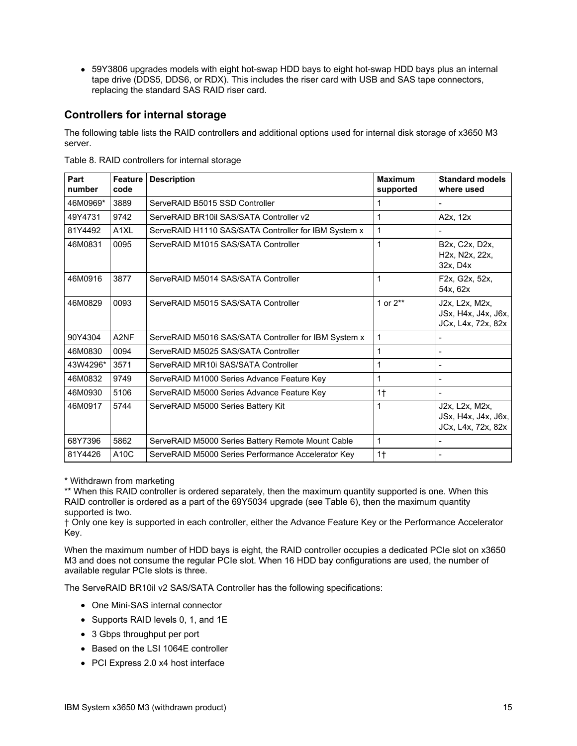59Y3806 upgrades models with eight hot-swap HDD bays to eight hot-swap HDD bays plus an internal tape drive (DDS5, DDS6, or RDX). This includes the riser card with USB and SAS tape connectors, replacing the standard SAS RAID riser card.

## **Controllers for internal storage**

The following table lists the RAID controllers and additional options used for internal disk storage of x3650 M3 server.

| Part<br>number | <b>Feature</b><br>code | <b>Description</b>                                   | <b>Maximum</b><br>supported | <b>Standard models</b><br>where used                                                |
|----------------|------------------------|------------------------------------------------------|-----------------------------|-------------------------------------------------------------------------------------|
| 46M0969*       | 3889                   | ServeRAID B5015 SSD Controller                       | 1                           |                                                                                     |
| 49Y4731        | 9742                   | ServeRAID BR10il SAS/SATA Controller v2              | 1                           | A2x, 12x                                                                            |
| 81Y4492        | A <sub>1XL</sub>       | ServeRAID H1110 SAS/SATA Controller for IBM System x | 1                           |                                                                                     |
| 46M0831        | 0095                   | ServeRAID M1015 SAS/SATA Controller                  | 1                           | B2x, C2x, D2x,<br>H <sub>2x</sub> , N <sub>2x</sub> , 2 <sub>2x</sub> ,<br>32x, D4x |
| 46M0916        | 3877                   | ServeRAID M5014 SAS/SATA Controller                  | 1                           | F2x, G2x, 52x,<br>54x, 62x                                                          |
| 46M0829        | 0093                   | ServeRAID M5015 SAS/SATA Controller                  | 1 or 2**                    | J2x, L2x, M2x,<br>JSx, H4x, J4x, J6x,<br>JCx, L4x, 72x, 82x                         |
| 90Y4304        | A <sub>2NF</sub>       | ServeRAID M5016 SAS/SATA Controller for IBM System x | 1                           |                                                                                     |
| 46M0830        | 0094                   | ServeRAID M5025 SAS/SATA Controller                  | 1                           | -                                                                                   |
| 43W4296*       | 3571                   | ServeRAID MR10i SAS/SATA Controller                  | 1                           |                                                                                     |
| 46M0832        | 9749                   | ServeRAID M1000 Series Advance Feature Key           | 1                           |                                                                                     |
| 46M0930        | 5106                   | ServeRAID M5000 Series Advance Feature Key           | 1 <sup>†</sup>              |                                                                                     |
| 46M0917        | 5744                   | ServeRAID M5000 Series Battery Kit                   | 1                           | J2x, L2x, M2x,<br>JSx, H4x, J4x, J6x,<br>JCx, L4x, 72x, 82x                         |
| 68Y7396        | 5862                   | ServeRAID M5000 Series Battery Remote Mount Cable    | 1                           |                                                                                     |
| 81Y4426        | A10C                   | ServeRAID M5000 Series Performance Accelerator Key   | $1+$                        | $\blacksquare$                                                                      |

Table 8. RAID controllers for internal storage

\* Withdrawn from marketing

\*\* When this RAID controller is ordered separately, then the maximum quantity supported is one. When this RAID controller is ordered as a part of the 69Y5034 upgrade (see Table 6), then the maximum quantity supported is two.

† Only one key is supported in each controller, either the Advance Feature Key or the Performance Accelerator Key.

When the maximum number of HDD bays is eight, the RAID controller occupies a dedicated PCIe slot on x3650 M3 and does not consume the regular PCIe slot. When 16 HDD bay configurations are used, the number of available regular PCIe slots is three.

The ServeRAID BR10il v2 SAS/SATA Controller has the following specifications:

- One Mini-SAS internal connector
- Supports RAID levels 0, 1, and 1E
- 3 Gbps throughput per port
- Based on the LSI 1064E controller
- PCI Express 2.0 x4 host interface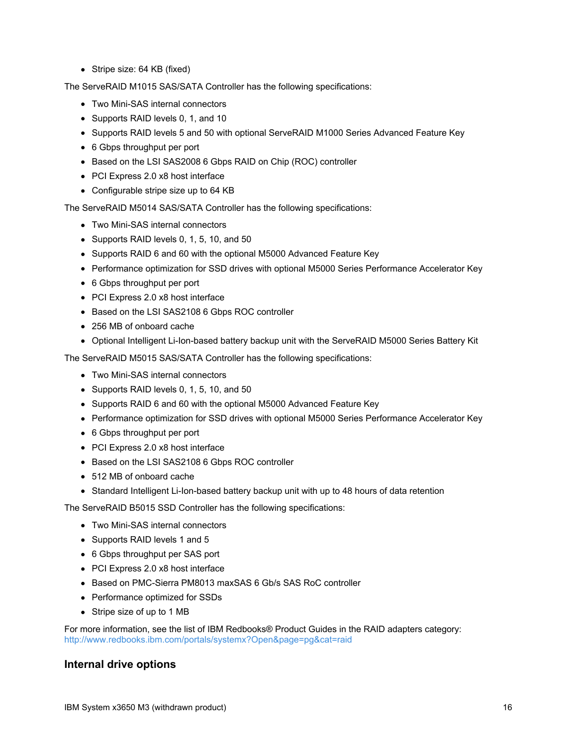• Stripe size: 64 KB (fixed)

The ServeRAID M1015 SAS/SATA Controller has the following specifications:

- Two Mini-SAS internal connectors
- Supports RAID levels 0, 1, and 10
- Supports RAID levels 5 and 50 with optional ServeRAID M1000 Series Advanced Feature Key
- 6 Gbps throughput per port
- Based on the LSI SAS2008 6 Gbps RAID on Chip (ROC) controller
- PCI Express 2.0 x8 host interface
- Configurable stripe size up to 64 KB

The ServeRAID M5014 SAS/SATA Controller has the following specifications:

- Two Mini-SAS internal connectors
- Supports RAID levels 0, 1, 5, 10, and 50
- Supports RAID 6 and 60 with the optional M5000 Advanced Feature Key
- Performance optimization for SSD drives with optional M5000 Series Performance Accelerator Key
- 6 Gbps throughput per port
- PCI Express 2.0 x8 host interface
- Based on the LSI SAS2108 6 Gbps ROC controller
- 256 MB of onboard cache
- Optional Intelligent Li-Ion-based battery backup unit with the ServeRAID M5000 Series Battery Kit

The ServeRAID M5015 SAS/SATA Controller has the following specifications:

- Two Mini-SAS internal connectors
- Supports RAID levels 0, 1, 5, 10, and 50
- Supports RAID 6 and 60 with the optional M5000 Advanced Feature Key
- Performance optimization for SSD drives with optional M5000 Series Performance Accelerator Key
- 6 Gbps throughput per port
- PCI Express 2.0 x8 host interface
- Based on the LSI SAS2108 6 Gbps ROC controller
- 512 MB of onboard cache
- Standard Intelligent Li-Ion-based battery backup unit with up to 48 hours of data retention

The ServeRAID B5015 SSD Controller has the following specifications:

- Two Mini-SAS internal connectors
- Supports RAID levels 1 and 5
- 6 Gbps throughput per SAS port
- PCI Express 2.0 x8 host interface
- Based on PMC-Sierra PM8013 maxSAS 6 Gb/s SAS RoC controller
- Performance optimized for SSDs
- Stripe size of up to 1 MB

For more information, see the list of IBM Redbooks® Product Guides in the RAID adapters category: <http://www.redbooks.ibm.com/portals/systemx?Open&page=pg&cat=raid>

#### **Internal drive options**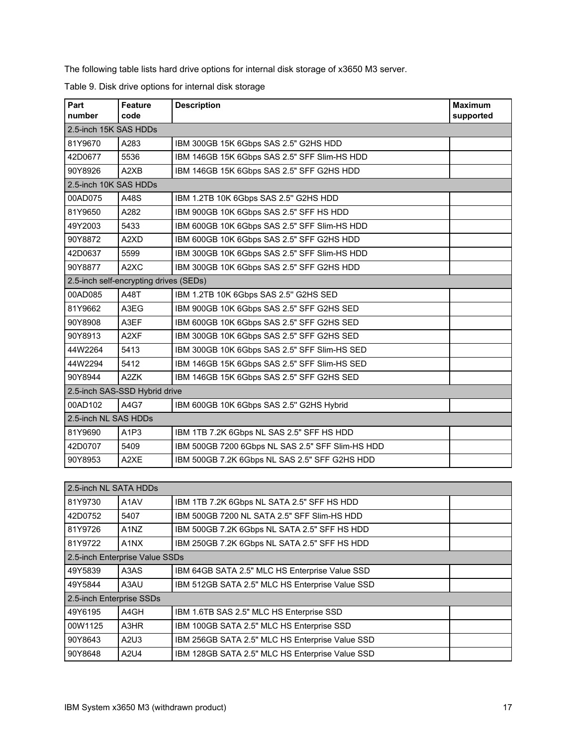The following table lists hard drive options for internal disk storage of x3650 M3 server.

|  |  |  |  | Table 9. Disk drive options for internal disk storage |
|--|--|--|--|-------------------------------------------------------|
|--|--|--|--|-------------------------------------------------------|

| Part<br>number                         | <b>Feature</b><br>code        | <b>Description</b>                               | <b>Maximum</b><br>supported |  |
|----------------------------------------|-------------------------------|--------------------------------------------------|-----------------------------|--|
| 2.5-inch 15K SAS HDDs                  |                               |                                                  |                             |  |
| 81Y9670                                | A283                          | IBM 300GB 15K 6Gbps SAS 2.5" G2HS HDD            |                             |  |
| 42D0677                                | 5536                          | IBM 146GB 15K 6Gbps SAS 2.5" SFF Slim-HS HDD     |                             |  |
| 90Y8926                                | A2XB                          | IBM 146GB 15K 6Gbps SAS 2.5" SFF G2HS HDD        |                             |  |
| 2.5-inch 10K SAS HDDs                  |                               |                                                  |                             |  |
| 00AD075                                | A48S                          | IBM 1.2TB 10K 6Gbps SAS 2.5" G2HS HDD            |                             |  |
| 81Y9650                                | A282                          | IBM 900GB 10K 6Gbps SAS 2.5" SFF HS HDD          |                             |  |
| 49Y2003                                | 5433                          | IBM 600GB 10K 6Gbps SAS 2.5" SFF Slim-HS HDD     |                             |  |
| 90Y8872                                | A2XD                          | IBM 600GB 10K 6Gbps SAS 2.5" SFF G2HS HDD        |                             |  |
| 42D0637                                | 5599                          | IBM 300GB 10K 6Gbps SAS 2.5" SFF Slim-HS HDD     |                             |  |
| 90Y8877                                | A <sub>2</sub> X <sub>C</sub> | IBM 300GB 10K 6Gbps SAS 2.5" SFF G2HS HDD        |                             |  |
| 2.5-inch self-encrypting drives (SEDs) |                               |                                                  |                             |  |
| 00AD085                                | A48T                          | IBM 1.2TB 10K 6Gbps SAS 2.5" G2HS SED            |                             |  |
| 81Y9662                                | A3EG                          | IBM 900GB 10K 6Gbps SAS 2.5" SFF G2HS SED        |                             |  |
| 90Y8908                                | A3EF                          | IBM 600GB 10K 6Gbps SAS 2.5" SFF G2HS SED        |                             |  |
| 90Y8913                                | A <sub>2</sub> XF             | IBM 300GB 10K 6Gbps SAS 2.5" SFF G2HS SED        |                             |  |
| 44W2264                                | 5413                          | IBM 300GB 10K 6Gbps SAS 2.5" SFF Slim-HS SED     |                             |  |
| 44W2294                                | 5412                          | IBM 146GB 15K 6Gbps SAS 2.5" SFF Slim-HS SED     |                             |  |
| 90Y8944                                | A2ZK                          | IBM 146GB 15K 6Gbps SAS 2.5" SFF G2HS SED        |                             |  |
| 2.5-inch SAS-SSD Hybrid drive          |                               |                                                  |                             |  |
| 00AD102                                | A4G7                          | IBM 600GB 10K 6Gbps SAS 2.5" G2HS Hybrid         |                             |  |
| 2.5-inch NL SAS HDDs                   |                               |                                                  |                             |  |
| 81Y9690                                | A <sub>1</sub> P <sub>3</sub> | IBM 1TB 7.2K 6Gbps NL SAS 2.5" SFF HS HDD        |                             |  |
| 42D0707                                | 5409                          | IBM 500GB 7200 6Gbps NL SAS 2.5" SFF Slim-HS HDD |                             |  |
| 90Y8953                                | A2XE                          | IBM 500GB 7.2K 6Gbps NL SAS 2.5" SFF G2HS HDD    |                             |  |

| 2.5-inch NL SATA HDDs          |                               |                                                 |  |  |
|--------------------------------|-------------------------------|-------------------------------------------------|--|--|
| 81Y9730                        | A <sub>1</sub> AV             | IBM 1TB 7.2K 6Gbps NL SATA 2.5" SFF HS HDD      |  |  |
| 42D0752                        | 5407                          | IBM 500GB 7200 NL SATA 2.5" SFF SIIm-HS HDD     |  |  |
| 81Y9726                        | A <sub>1</sub> N <sub>Z</sub> | IBM 500GB 7.2K 6Gbps NL SATA 2.5" SFF HS HDD    |  |  |
| 81Y9722                        | A <sub>1</sub> NX             | IBM 250GB 7.2K 6Gbps NL SATA 2.5" SFF HS HDD    |  |  |
| 2.5-inch Enterprise Value SSDs |                               |                                                 |  |  |
| 49Y5839                        | A3AS                          | IBM 64GB SATA 2.5" MLC HS Enterprise Value SSD  |  |  |
| 49Y5844                        | A3AU                          | IBM 512GB SATA 2.5" MLC HS Enterprise Value SSD |  |  |
| 2.5-inch Enterprise SSDs       |                               |                                                 |  |  |
| 49Y6195                        | A4GH                          | IBM 1.6TB SAS 2.5" MLC HS Enterprise SSD        |  |  |
| 00W1125                        | A3HR                          | IBM 100GB SATA 2.5" MLC HS Enterprise SSD       |  |  |
| 90Y8643                        | A2U3                          | IBM 256GB SATA 2.5" MLC HS Enterprise Value SSD |  |  |
| 90Y8648                        | A2U4                          | IBM 128GB SATA 2.5" MLC HS Enterprise Value SSD |  |  |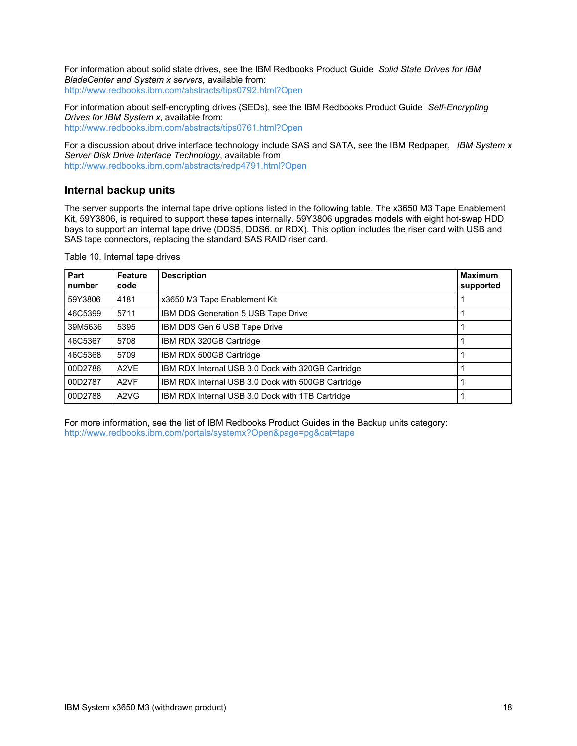For information about solid state drives, see the IBM Redbooks Product Guide *Solid State Drives for IBM BladeCenter and System x servers*, available from: <http://www.redbooks.ibm.com/abstracts/tips0792.html?Open>

For information about self-encrypting drives (SEDs), see the IBM Redbooks Product Guide *Self-Encrypting Drives for IBM System x*, available from: <http://www.redbooks.ibm.com/abstracts/tips0761.html?Open>

For a discussion about drive interface technology include SAS and SATA, see the IBM Redpaper, *IBM System x Server Disk Drive Interface Technology*, available from <http://www.redbooks.ibm.com/abstracts/redp4791.html?Open>

### **Internal backup units**

The server supports the internal tape drive options listed in the following table. The x3650 M3 Tape Enablement Kit, 59Y3806, is required to support these tapes internally. 59Y3806 upgrades models with eight hot-swap HDD bays to support an internal tape drive (DDS5, DDS6, or RDX). This option includes the riser card with USB and SAS tape connectors, replacing the standard SAS RAID riser card.

| Table 10. Internal tape drives |  |
|--------------------------------|--|
|--------------------------------|--|

| Part<br>number | <b>Feature</b><br>code        | <b>Description</b>                                 | <b>Maximum</b><br>supported |
|----------------|-------------------------------|----------------------------------------------------|-----------------------------|
| 59Y3806        | 4181                          | x3650 M3 Tape Enablement Kit                       |                             |
| 46C5399        | 5711                          | IBM DDS Generation 5 USB Tape Drive                |                             |
| 39M5636        | 5395                          | IBM DDS Gen 6 USB Tape Drive                       |                             |
| 46C5367        | 5708                          | IBM RDX 320GB Cartridge                            |                             |
| 46C5368        | 5709                          | IBM RDX 500GB Cartridge                            |                             |
| 00D2786        | A <sub>2</sub> VE             | IBM RDX Internal USB 3.0 Dock with 320GB Cartridge |                             |
| 00D2787        | A <sub>2</sub> VF             | IBM RDX Internal USB 3.0 Dock with 500GB Cartridge |                             |
| 00D2788        | A <sub>2</sub> V <sub>G</sub> | IBM RDX Internal USB 3.0 Dock with 1TB Cartridge   |                             |

For more information, see the list of IBM Redbooks Product Guides in the Backup units category: <http://www.redbooks.ibm.com/portals/systemx?Open&page=pg&cat=tape>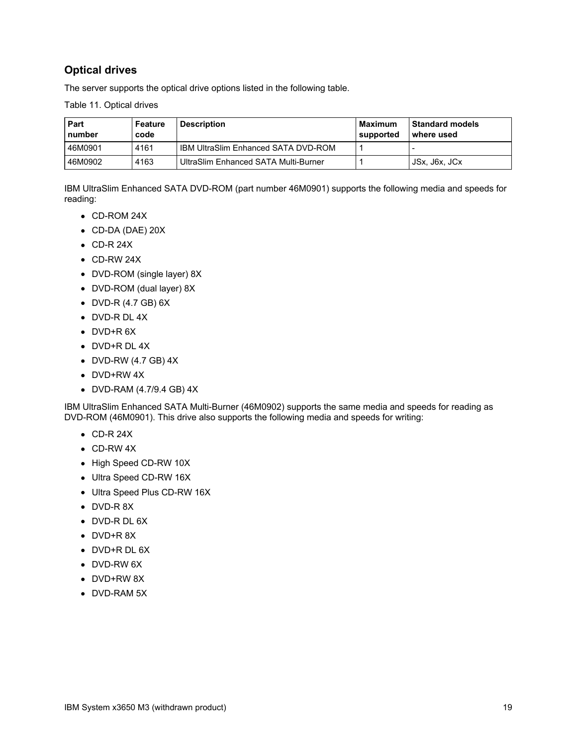## **Optical drives**

The server supports the optical drive options listed in the following table.

Table 11. Optical drives

| Part<br>number | Feature<br>code | <b>Description</b>                         | Maximum<br>supported | <b>Standard models</b><br>l where used |
|----------------|-----------------|--------------------------------------------|----------------------|----------------------------------------|
| 46M0901        | 4161            | <b>IBM UltraSlim Enhanced SATA DVD-ROM</b> |                      |                                        |
| 46M0902        | 4163            | UltraSlim Enhanced SATA Multi-Burner       |                      | JSx, J6x, JCx                          |

IBM UltraSlim Enhanced SATA DVD-ROM (part number 46M0901) supports the following media and speeds for reading:

- CD-ROM 24X
- CD-DA (DAE) 20X
- $\bullet$  CD-R 24X
- CD-RW 24X
- DVD-ROM (single layer) 8X
- DVD-ROM (dual layer) 8X
- DVD-R (4.7 GB) 6X
- DVD-R DL 4X
- DVD+R 6X
- DVD+R DL 4X
- DVD-RW (4.7 GB) 4X
- DVD+RW 4X
- DVD-RAM (4.7/9.4 GB) 4X

IBM UltraSlim Enhanced SATA Multi-Burner (46M0902) supports the same media and speeds for reading as DVD-ROM (46M0901). This drive also supports the following media and speeds for writing:

- $\bullet$  CD-R 24X
- CD-RW 4X
- High Speed CD-RW 10X
- Ultra Speed CD-RW 16X
- Ultra Speed Plus CD-RW 16X
- DVD-R 8X
- DVD-R DL 6X
- DVD+R 8X
- DVD+R DL 6X
- DVD-RW 6X
- DVD+RW 8X
- DVD-RAM 5X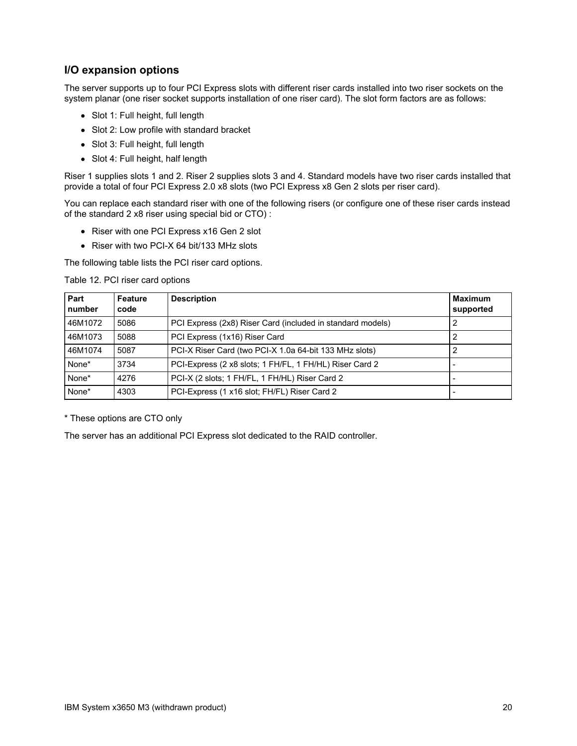## **I/O expansion options**

The server supports up to four PCI Express slots with different riser cards installed into two riser sockets on the system planar (one riser socket supports installation of one riser card). The slot form factors are as follows:

- Slot 1: Full height, full length
- Slot 2: Low profile with standard bracket
- Slot 3: Full height, full length
- Slot 4: Full height, half length

Riser 1 supplies slots 1 and 2. Riser 2 supplies slots 3 and 4. Standard models have two riser cards installed that provide a total of four PCI Express 2.0 x8 slots (two PCI Express x8 Gen 2 slots per riser card).

You can replace each standard riser with one of the following risers (or configure one of these riser cards instead of the standard 2 x8 riser using special bid or CTO) :

- Riser with one PCI Express x16 Gen 2 slot
- Riser with two PCI-X 64 bit/133 MHz slots

The following table lists the PCI riser card options.

Table 12. PCI riser card options

| Part<br>number | Feature<br>code | <b>Description</b>                                         | <b>Maximum</b><br>supported |
|----------------|-----------------|------------------------------------------------------------|-----------------------------|
| 46M1072        | 5086            | PCI Express (2x8) Riser Card (included in standard models) |                             |
| 46M1073        | 5088            | PCI Express (1x16) Riser Card                              | 2                           |
| 46M1074        | 5087            | PCI-X Riser Card (two PCI-X 1.0a 64-bit 133 MHz slots)     |                             |
| None*          | 3734            | PCI-Express (2 x8 slots; 1 FH/FL, 1 FH/HL) Riser Card 2    |                             |
| None*          | 4276            | PCI-X (2 slots; 1 FH/FL, 1 FH/HL) Riser Card 2             |                             |
| None*          | 4303            | PCI-Express (1 x16 slot; FH/FL) Riser Card 2               |                             |

\* These options are CTO only

The server has an additional PCI Express slot dedicated to the RAID controller.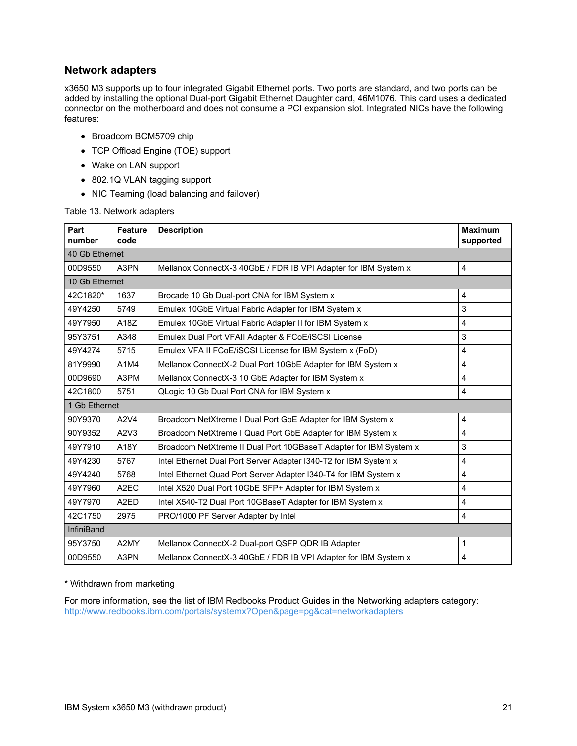### **Network adapters**

x3650 M3 supports up to four integrated Gigabit Ethernet ports. Two ports are standard, and two ports can be added by installing the optional Dual-port Gigabit Ethernet Daughter card, 46M1076. This card uses a dedicated connector on the motherboard and does not consume a PCI expansion slot. Integrated NICs have the following features:

- Broadcom BCM5709 chip
- TCP Offload Engine (TOE) support
- Wake on LAN support
- 802.1Q VLAN tagging support
- NIC Teaming (load balancing and failover)

#### Table 13. Network adapters

| Part<br>number    | <b>Feature</b><br>code | <b>Description</b>                                                | <b>Maximum</b><br>supported |
|-------------------|------------------------|-------------------------------------------------------------------|-----------------------------|
| 40 Gb Ethernet    |                        |                                                                   |                             |
| 00D9550           | A3PN                   | Mellanox ConnectX-3 40GbE / FDR IB VPI Adapter for IBM System x   | 4                           |
| 10 Gb Ethernet    |                        |                                                                   |                             |
| 42C1820*          | 1637                   | Brocade 10 Gb Dual-port CNA for IBM System x                      | 4                           |
| 49Y4250           | 5749                   | Emulex 10GbE Virtual Fabric Adapter for IBM System x              | 3                           |
| 49Y7950           | A18Z                   | Emulex 10GbE Virtual Fabric Adapter II for IBM System x           | $\overline{4}$              |
| 95Y3751           | A348                   | Emulex Dual Port VFAII Adapter & FCoE/iSCSI License               | 3                           |
| 49Y4274           | 5715                   | Emulex VFA II FCoE/iSCSI License for IBM System x (FoD)           | $\overline{4}$              |
| 81Y9990           | A1M4                   | Mellanox ConnectX-2 Dual Port 10GbE Adapter for IBM System x      | $\overline{\mathbf{4}}$     |
| 00D9690           | A3PM                   | Mellanox ConnectX-3 10 GbE Adapter for IBM System x               | $\overline{\mathbf{4}}$     |
| 42C1800           | 5751                   | QLogic 10 Gb Dual Port CNA for IBM System x                       | $\overline{\mathbf{4}}$     |
| 1 Gb Ethernet     |                        |                                                                   |                             |
| 90Y9370           | A2V4                   | Broadcom NetXtreme I Dual Port GbE Adapter for IBM System x       | 4                           |
| 90Y9352           | A2V3                   | Broadcom NetXtreme I Quad Port GbE Adapter for IBM System x       | 4                           |
| 49Y7910           | A18Y                   | Broadcom NetXtreme II Dual Port 10GBaseT Adapter for IBM System x | 3                           |
| 49Y4230           | 5767                   | Intel Ethernet Dual Port Server Adapter I340-T2 for IBM System x  | $\overline{4}$              |
| 49Y4240           | 5768                   | Intel Ethernet Quad Port Server Adapter I340-T4 for IBM System x  | $\overline{\mathbf{4}}$     |
| 49Y7960           | A <sub>2</sub> EC      | Intel X520 Dual Port 10GbE SFP+ Adapter for IBM System x          | 4                           |
| 49Y7970           | A <sub>2</sub> ED      | Intel X540-T2 Dual Port 10GBaseT Adapter for IBM System x         | $\overline{\mathbf{4}}$     |
| 42C1750           | 2975                   | PRO/1000 PF Server Adapter by Intel                               | $\overline{4}$              |
| <b>InfiniBand</b> |                        |                                                                   |                             |
| 95Y3750           | A2MY                   | Mellanox ConnectX-2 Dual-port QSFP QDR IB Adapter                 | $\mathbf{1}$                |
| 00D9550           | A3PN                   | Mellanox ConnectX-3 40GbE / FDR IB VPI Adapter for IBM System x   | 4                           |

#### \* Withdrawn from marketing

For more information, see the list of IBM Redbooks Product Guides in the Networking adapters category: <http://www.redbooks.ibm.com/portals/systemx?Open&page=pg&cat=networkadapters>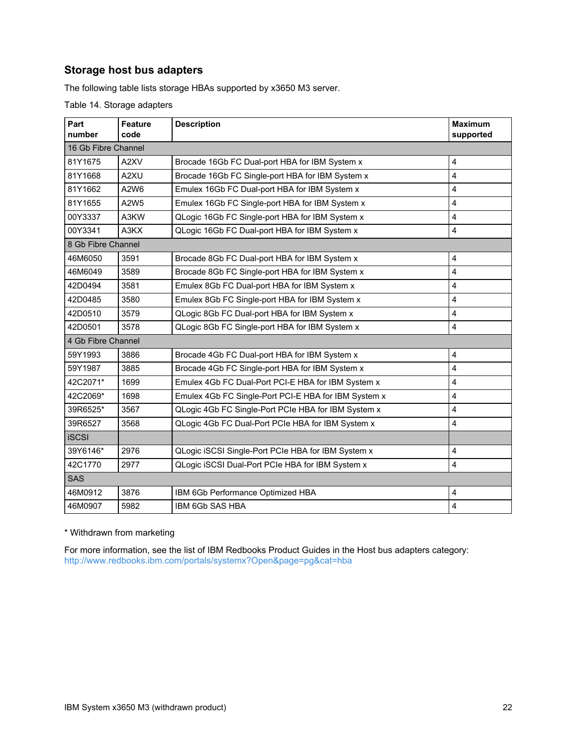## **Storage host bus adapters**

The following table lists storage HBAs supported by x3650 M3 server.

Table 14. Storage adapters

| Part<br>number      | <b>Feature</b><br>code                                 | <b>Description</b>                                   | <b>Maximum</b><br>supported |  |
|---------------------|--------------------------------------------------------|------------------------------------------------------|-----------------------------|--|
| 16 Gb Fibre Channel |                                                        |                                                      |                             |  |
| 81Y1675             | A2XV<br>Brocade 16Gb FC Dual-port HBA for IBM System x |                                                      | 4                           |  |
| 81Y1668             | A2XU                                                   | Brocade 16Gb FC Single-port HBA for IBM System x     | 4                           |  |
| 81Y1662             | A2W6                                                   | Emulex 16Gb FC Dual-port HBA for IBM System x        | 4                           |  |
| 81Y1655             | A2W5                                                   | Emulex 16Gb FC Single-port HBA for IBM System x      | 4                           |  |
| 00Y3337             | A3KW                                                   | QLogic 16Gb FC Single-port HBA for IBM System x      | 4                           |  |
| 00Y3341             | A3KX                                                   | QLogic 16Gb FC Dual-port HBA for IBM System x        | 4                           |  |
| 8 Gb Fibre Channel  |                                                        |                                                      |                             |  |
| 46M6050             | 3591                                                   | Brocade 8Gb FC Dual-port HBA for IBM System x        | 4                           |  |
| 46M6049             | 3589                                                   | Brocade 8Gb FC Single-port HBA for IBM System x      | 4                           |  |
| 42D0494             | 3581                                                   | Emulex 8Gb FC Dual-port HBA for IBM System x         | 4                           |  |
| 42D0485             | 3580                                                   | Emulex 8Gb FC Single-port HBA for IBM System x       | 4                           |  |
| 42D0510             | 3579                                                   | QLogic 8Gb FC Dual-port HBA for IBM System x         | 4                           |  |
| 42D0501             | 3578                                                   | QLogic 8Gb FC Single-port HBA for IBM System x       | 4                           |  |
| 4 Gb Fibre Channel  |                                                        |                                                      |                             |  |
| 59Y1993             | 3886                                                   | Brocade 4Gb FC Dual-port HBA for IBM System x        | 4                           |  |
| 59Y1987             | 3885                                                   | Brocade 4Gb FC Single-port HBA for IBM System x      | 4                           |  |
| 42C2071*            | 1699                                                   | Emulex 4Gb FC Dual-Port PCI-E HBA for IBM System x   | 4                           |  |
| 42C2069*            | 1698                                                   | Emulex 4Gb FC Single-Port PCI-E HBA for IBM System x | 4                           |  |
| 39R6525*            | 3567                                                   | QLogic 4Gb FC Single-Port PCIe HBA for IBM System x  | 4                           |  |
| 39R6527             | 3568                                                   | QLogic 4Gb FC Dual-Port PCIe HBA for IBM System x    | 4                           |  |
| <b>iSCSI</b>        |                                                        |                                                      |                             |  |
| 39Y6146*            | 2976                                                   | QLogic iSCSI Single-Port PCIe HBA for IBM System x   | 4                           |  |
| 42C1770             | 2977                                                   | QLogic iSCSI Dual-Port PCIe HBA for IBM System x     | 4                           |  |
| <b>SAS</b>          |                                                        |                                                      |                             |  |
| 46M0912             | 3876                                                   | IBM 6Gb Performance Optimized HBA                    | 4                           |  |
| 46M0907             | 5982<br>IBM 6Gb SAS HBA                                |                                                      | 4                           |  |

#### \* Withdrawn from marketing

For more information, see the list of IBM Redbooks Product Guides in the Host bus adapters category: <http://www.redbooks.ibm.com/portals/systemx?Open&page=pg&cat=hba>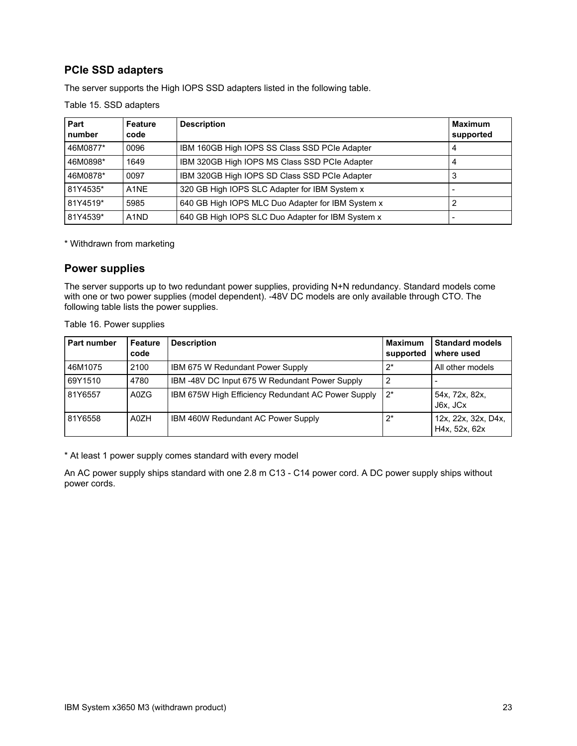## **PCIe SSD adapters**

The server supports the High IOPS SSD adapters listed in the following table.

Table 15. SSD adapters

| Part<br>number | <b>Feature</b><br>code        | <b>Description</b>                                | <b>Maximum</b><br>supported |
|----------------|-------------------------------|---------------------------------------------------|-----------------------------|
| 46M0877*       | 0096                          | IBM 160GB High IOPS SS Class SSD PCIe Adapter     |                             |
| 46M0898*       | 1649                          | IBM 320GB High IOPS MS Class SSD PCIe Adapter     |                             |
| 46M0878*       | 0097                          | IBM 320GB High IOPS SD Class SSD PCIe Adapter     |                             |
| 81Y4535*       | A <sub>1</sub> NE             | 320 GB High IOPS SLC Adapter for IBM System x     |                             |
| 81Y4519*       | 5985                          | 640 GB High IOPS MLC Duo Adapter for IBM System x |                             |
| 81Y4539*       | A <sub>1</sub> N <sub>D</sub> | 640 GB High IOPS SLC Duo Adapter for IBM System x |                             |

\* Withdrawn from marketing

### **Power supplies**

The server supports up to two redundant power supplies, providing N+N redundancy. Standard models come with one or two power supplies (model dependent). -48V DC models are only available through CTO. The following table lists the power supplies.

| Part number | Feature<br>code | <b>Description</b>                                 | <b>Maximum</b><br>supported | <b>Standard models</b><br>where used |
|-------------|-----------------|----------------------------------------------------|-----------------------------|--------------------------------------|
| 46M1075     | 2100            | IBM 675 W Redundant Power Supply                   | $2^*$                       | All other models                     |
| 69Y1510     | 4780            | IBM-48V DC Input 675 W Redundant Power Supply      | 2                           |                                      |
| 81Y6557     | A0ZG            | IBM 675W High Efficiency Redundant AC Power Supply | $2^*$                       | 54x, 72x, 82x,<br>J6x, JCx           |
| 81Y6558     | A0ZH            | <b>IBM 460W Redundant AC Power Supply</b>          | $2^*$                       | 12x, 22x, 32x, D4x,<br>H4x. 52x. 62x |

Table 16. Power supplies

\* At least 1 power supply comes standard with every model

An AC power supply ships standard with one 2.8 m C13 - C14 power cord. A DC power supply ships without power cords.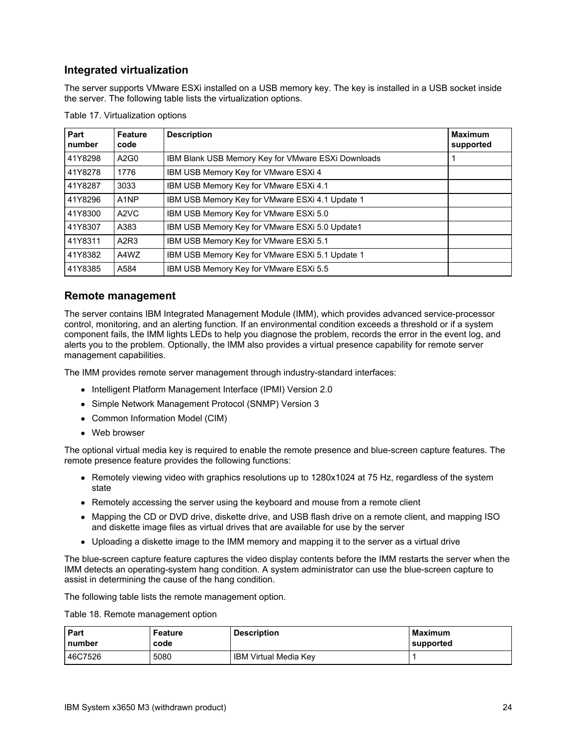## **Integrated virtualization**

The server supports VMware ESXi installed on a USB memory key. The key is installed in a USB socket inside the server. The following table lists the virtualization options.

| Part<br>number | <b>Feature</b><br>code        | <b>Description</b>                                        | <b>Maximum</b><br>supported |
|----------------|-------------------------------|-----------------------------------------------------------|-----------------------------|
| 41Y8298        | A2G0                          | <b>IBM Blank USB Memory Key for VMware ESXI Downloads</b> |                             |
| 41Y8278        | 1776                          | IBM USB Memory Key for VMware ESXi 4                      |                             |
| 41Y8287        | 3033                          | IBM USB Memory Key for VMware ESXi 4.1                    |                             |
| 41Y8296        | A <sub>1</sub> NP             | IBM USB Memory Key for VMware ESXi 4.1 Update 1           |                             |
| 41Y8300        | A <sub>2</sub> V <sub>C</sub> | IBM USB Memory Key for VMware ESXi 5.0                    |                             |
| 41Y8307        | A383                          | IBM USB Memory Key for VMware ESXi 5.0 Update1            |                             |
| 41Y8311        | A <sub>2</sub> R <sub>3</sub> | IBM USB Memory Key for VMware ESXi 5.1                    |                             |
| 41Y8382        | A4WZ                          | IBM USB Memory Key for VMware ESXi 5.1 Update 1           |                             |
| 41Y8385        | A584                          | IBM USB Memory Key for VMware ESXi 5.5                    |                             |

Table 17. Virtualization options

#### **Remote management**

The server contains IBM Integrated Management Module (IMM), which provides advanced service-processor control, monitoring, and an alerting function. If an environmental condition exceeds a threshold or if a system component fails, the IMM lights LEDs to help you diagnose the problem, records the error in the event log, and alerts you to the problem. Optionally, the IMM also provides a virtual presence capability for remote server management capabilities.

The IMM provides remote server management through industry-standard interfaces:

- Intelligent Platform Management Interface (IPMI) Version 2.0
- Simple Network Management Protocol (SNMP) Version 3
- Common Information Model (CIM)
- Web browser

The optional virtual media key is required to enable the remote presence and blue-screen capture features. The remote presence feature provides the following functions:

- Remotely viewing video with graphics resolutions up to 1280x1024 at 75 Hz, regardless of the system state
- Remotely accessing the server using the keyboard and mouse from a remote client
- Mapping the CD or DVD drive, diskette drive, and USB flash drive on a remote client, and mapping ISO and diskette image files as virtual drives that are available for use by the server
- Uploading a diskette image to the IMM memory and mapping it to the server as a virtual drive

The blue-screen capture feature captures the video display contents before the IMM restarts the server when the IMM detects an operating-system hang condition. A system administrator can use the blue-screen capture to assist in determining the cause of the hang condition.

The following table lists the remote management option.

Table 18. Remote management option

| Part    | Feature | <b>Description</b>           | <b>Maximum</b> |
|---------|---------|------------------------------|----------------|
| number  | code    |                              | ∣supported     |
| 46C7526 | 5080    | <b>IBM Virtual Media Key</b> |                |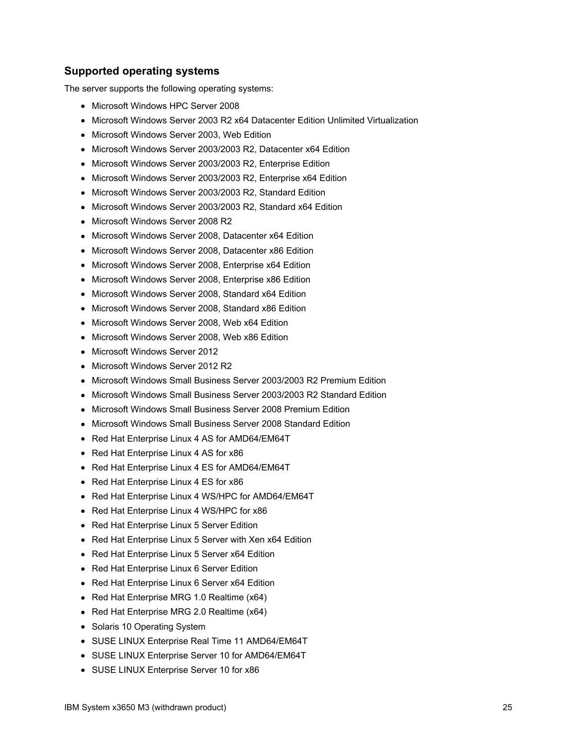### **Supported operating systems**

The server supports the following operating systems:

- Microsoft Windows HPC Server 2008
- Microsoft Windows Server 2003 R2 x64 Datacenter Edition Unlimited Virtualization
- Microsoft Windows Server 2003, Web Edition
- Microsoft Windows Server 2003/2003 R2, Datacenter x64 Edition
- Microsoft Windows Server 2003/2003 R2, Enterprise Edition
- Microsoft Windows Server 2003/2003 R2, Enterprise x64 Edition
- Microsoft Windows Server 2003/2003 R2, Standard Edition
- Microsoft Windows Server 2003/2003 R2, Standard x64 Edition
- Microsoft Windows Server 2008 R2
- Microsoft Windows Server 2008, Datacenter x64 Edition
- Microsoft Windows Server 2008, Datacenter x86 Edition
- Microsoft Windows Server 2008, Enterprise x64 Edition
- Microsoft Windows Server 2008, Enterprise x86 Edition
- Microsoft Windows Server 2008, Standard x64 Edition
- Microsoft Windows Server 2008, Standard x86 Edition
- Microsoft Windows Server 2008, Web x64 Edition
- Microsoft Windows Server 2008, Web x86 Edition
- Microsoft Windows Server 2012
- Microsoft Windows Server 2012 R2
- Microsoft Windows Small Business Server 2003/2003 R2 Premium Edition
- Microsoft Windows Small Business Server 2003/2003 R2 Standard Edition
- Microsoft Windows Small Business Server 2008 Premium Edition
- Microsoft Windows Small Business Server 2008 Standard Edition
- Red Hat Enterprise Linux 4 AS for AMD64/EM64T
- Red Hat Enterprise Linux 4 AS for x86
- Red Hat Enterprise Linux 4 ES for AMD64/EM64T
- Red Hat Enterprise Linux 4 ES for x86
- Red Hat Enterprise Linux 4 WS/HPC for AMD64/EM64T
- Red Hat Enterprise Linux 4 WS/HPC for x86
- Red Hat Enterprise Linux 5 Server Edition
- Red Hat Enterprise Linux 5 Server with Xen x64 Edition
- Red Hat Enterprise Linux 5 Server x64 Edition
- Red Hat Enterprise Linux 6 Server Edition
- Red Hat Enterprise Linux 6 Server x64 Edition
- Red Hat Enterprise MRG 1.0 Realtime (x64)
- Red Hat Enterprise MRG 2.0 Realtime (x64)
- Solaris 10 Operating System
- SUSE LINUX Enterprise Real Time 11 AMD64/EM64T
- SUSE LINUX Enterprise Server 10 for AMD64/EM64T
- SUSE LINUX Enterprise Server 10 for x86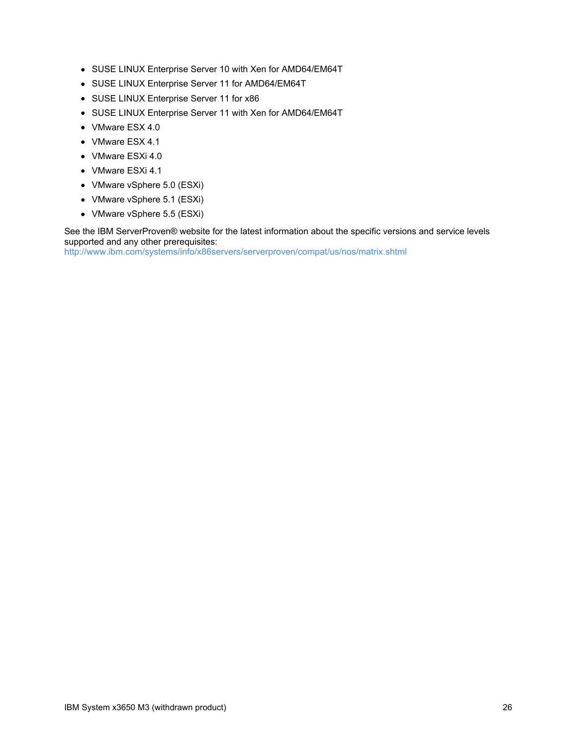- SUSE LINUX Enterprise Server 10 with Xen for AMD64/EM64T
- SUSE LINUX Enterprise Server 11 for AMD64/EM64T
- SUSE LINUX Enterprise Server 11 for x86
- SUSE LINUX Enterprise Server 11 with Xen for AMD64/EM64T
- VMware ESX 4.0
- VMware ESX 4.1
- VMware ESXi 4.0
- VMware ESXi 4.1
- VMware vSphere 5.0 (ESXi)
- VMware vSphere 5.1 (ESXi)
- VMware vSphere 5.5 (ESXi)

See the IBM ServerProven® website for the latest information about the specific versions and service levels supported and any other prerequisites:

<http://www.ibm.com/systems/info/x86servers/serverproven/compat/us/nos/matrix.shtml>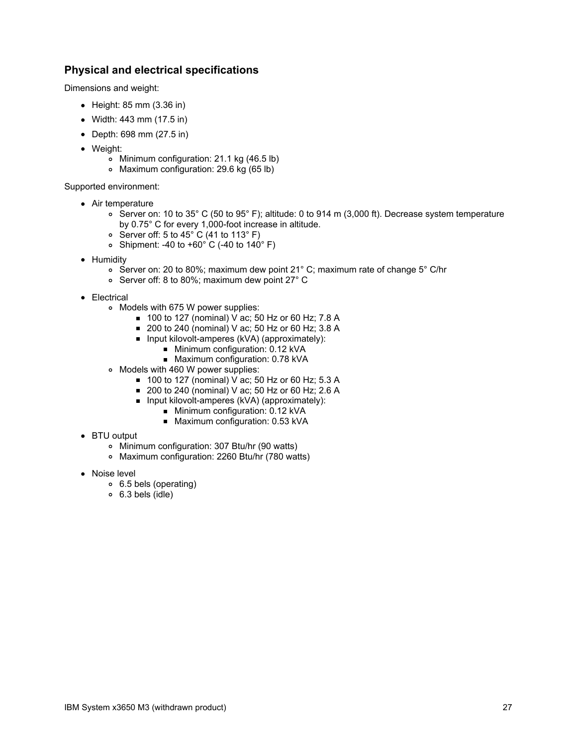### **Physical and electrical specifications**

Dimensions and weight:

- $\bullet$  Height: 85 mm (3.36 in)
- Width: 443 mm (17.5 in)
- Depth: 698 mm (27.5 in)
- Weight:
	- Minimum configuration: 21.1 kg (46.5 lb)
	- Maximum configuration: 29.6 kg (65 lb)

Supported environment:

- Air temperature
	- Server on: 10 to 35° C (50 to 95° F); altitude: 0 to 914 m (3,000 ft). Decrease system temperature by 0.75° C for every 1,000-foot increase in altitude.
	- Server off: 5 to 45 $^{\circ}$  C (41 to 113 $^{\circ}$  F)
	- Shipment: -40 to  $+60^{\circ}$  C (-40 to 140° F)
- Humidity
	- Server on: 20 to 80%; maximum dew point 21° C; maximum rate of change 5° C/hr
	- Server off: 8 to 80%; maximum dew point 27° C
- Electrical
	- Models with 675 W power supplies:
		- 100 to 127 (nominal) V ac; 50 Hz or 60 Hz; 7.8 A
		- 200 to 240 (nominal) V ac; 50 Hz or 60 Hz; 3.8 A
		- $\blacksquare$  Input kilovolt-amperes (kVA) (approximately):
			- Minimum configuration: 0.12 kVA
			- Maximum configuration: 0.78 kVA
	- Models with 460 W power supplies:
		- 100 to 127 (nominal) V ac; 50 Hz or 60 Hz; 5.3 A
		- 200 to 240 (nominal) V ac: 50 Hz or 60 Hz; 2.6 A
		- **Input kilovolt-amperes (kVA) (approximately):** 
			- **Minimum configuration: 0.12 kVA**
			- Maximum configuration: 0.53 kVA
- BTU output
	- Minimum configuration: 307 Btu/hr (90 watts)
	- Maximum configuration: 2260 Btu/hr (780 watts)
- Noise level
	- 6.5 bels (operating)
	- 6.3 bels (idle)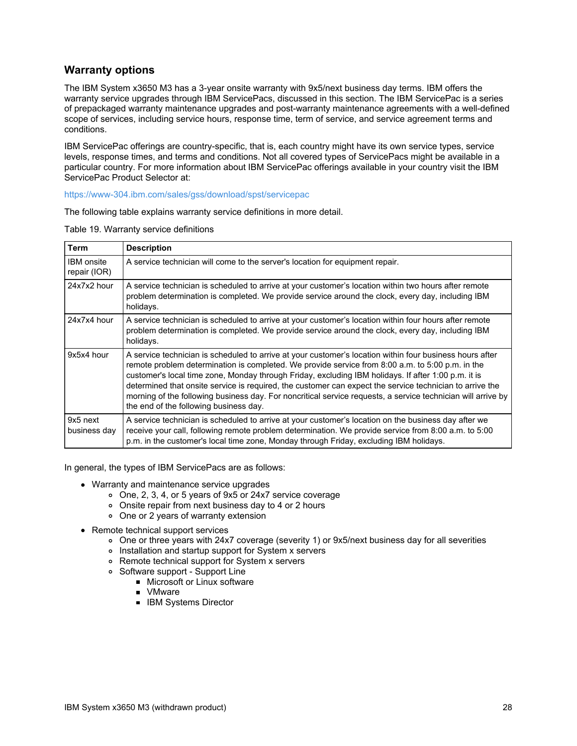## **Warranty options**

The IBM System x3650 M3 has a 3-year onsite warranty with 9x5/next business day terms. IBM offers the warranty service upgrades through IBM ServicePacs, discussed in this section. The IBM ServicePac is a series of prepackaged warranty maintenance upgrades and post-warranty maintenance agreements with a well-defined scope of services, including service hours, response time, term of service, and service agreement terms and conditions.

IBM ServicePac offerings are country-specific, that is, each country might have its own service types, service levels, response times, and terms and conditions. Not all covered types of ServicePacs might be available in a particular country. For more information about IBM ServicePac offerings available in your country visit the IBM ServicePac Product Selector at:

<https://www-304.ibm.com/sales/gss/download/spst/servicepac>

The following table explains warranty service definitions in more detail.

Table 19. Warranty service definitions

 $\overline{a}$ 

| <b>Term</b>                       | <b>Description</b>                                                                                                                                                                                                                                                                                                                                                                                                                                                                                                                                                                        |
|-----------------------------------|-------------------------------------------------------------------------------------------------------------------------------------------------------------------------------------------------------------------------------------------------------------------------------------------------------------------------------------------------------------------------------------------------------------------------------------------------------------------------------------------------------------------------------------------------------------------------------------------|
| <b>IBM</b> onsite<br>repair (IOR) | A service technician will come to the server's location for equipment repair.                                                                                                                                                                                                                                                                                                                                                                                                                                                                                                             |
| 24x7x2 hour                       | A service technician is scheduled to arrive at your customer's location within two hours after remote<br>problem determination is completed. We provide service around the clock, every day, including IBM<br>holidays.                                                                                                                                                                                                                                                                                                                                                                   |
| 24x7x4 hour                       | A service technician is scheduled to arrive at your customer's location within four hours after remote<br>problem determination is completed. We provide service around the clock, every day, including IBM<br>holidays.                                                                                                                                                                                                                                                                                                                                                                  |
| 9x5x4 hour                        | A service technician is scheduled to arrive at your customer's location within four business hours after<br>remote problem determination is completed. We provide service from 8:00 a.m. to 5:00 p.m. in the<br>customer's local time zone, Monday through Friday, excluding IBM holidays. If after 1:00 p.m. it is<br>determined that onsite service is required, the customer can expect the service technician to arrive the<br>morning of the following business day. For noncritical service requests, a service technician will arrive by<br>the end of the following business day. |
| 9x5 next<br>business day          | A service technician is scheduled to arrive at your customer's location on the business day after we<br>receive your call, following remote problem determination. We provide service from 8:00 a.m. to 5:00<br>p.m. in the customer's local time zone, Monday through Friday, excluding IBM holidays.                                                                                                                                                                                                                                                                                    |

In general, the types of IBM ServicePacs are as follows:

- Warranty and maintenance service upgrades
	- One, 2, 3, 4, or 5 years of 9x5 or 24x7 service coverage
	- Onsite repair from next business day to 4 or 2 hours
	- One or 2 years of warranty extension
- Remote technical support services
	- One or three years with 24x7 coverage (severity 1) or 9x5/next business day for all severities
	- o Installation and startup support for System x servers
	- Remote technical support for System x servers
	- Software support Support Line
		- **Microsoft or Linux software**
		- **Januare**
		- **IBM Systems Director**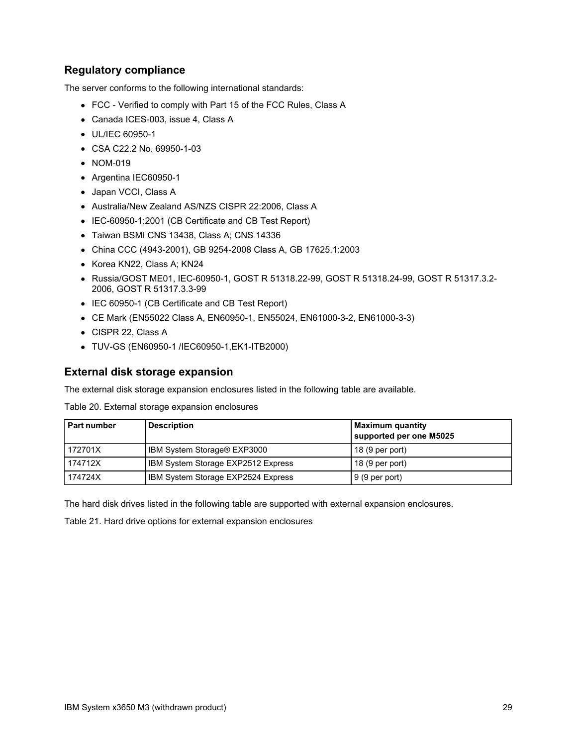## **Regulatory compliance**

The server conforms to the following international standards:

- FCC Verified to comply with Part 15 of the FCC Rules, Class A
- Canada ICES-003, issue 4, Class A
- UL/IEC 60950-1
- CSA C22.2 No. 69950-1-03
- NOM-019
- Argentina IEC60950-1
- Japan VCCI, Class A
- Australia/New Zealand AS/NZS CISPR 22:2006, Class A
- IEC-60950-1:2001 (CB Certificate and CB Test Report)
- Taiwan BSMI CNS 13438, Class A; CNS 14336
- China CCC (4943-2001), GB 9254-2008 Class A, GB 17625.1:2003
- Korea KN22, Class A; KN24
- Russia/GOST ME01, IEC-60950-1, GOST R 51318.22-99, GOST R 51318.24-99, GOST R 51317.3.2- 2006, GOST R 51317.3.3-99
- IEC 60950-1 (CB Certificate and CB Test Report)
- CE Mark (EN55022 Class A, EN60950-1, EN55024, EN61000-3-2, EN61000-3-3)
- CISPR 22, Class A
- TUV-GS (EN60950-1 /IEC60950-1,EK1-ITB2000)

#### **External disk storage expansion**

The external disk storage expansion enclosures listed in the following table are available.

Table 20. External storage expansion enclosures

| <b>Part number</b> | <b>Description</b>                 | Maximum quantity<br>supported per one M5025 |
|--------------------|------------------------------------|---------------------------------------------|
| 172701X            | IBM System Storage® EXP3000        | $18(9per$ port)                             |
| 174712X            | IBM System Storage EXP2512 Express | 18 (9 per port)                             |
| 174724X            | IBM System Storage EXP2524 Express | $9(9$ per port)                             |

The hard disk drives listed in the following table are supported with external expansion enclosures.

Table 21. Hard drive options for external expansion enclosures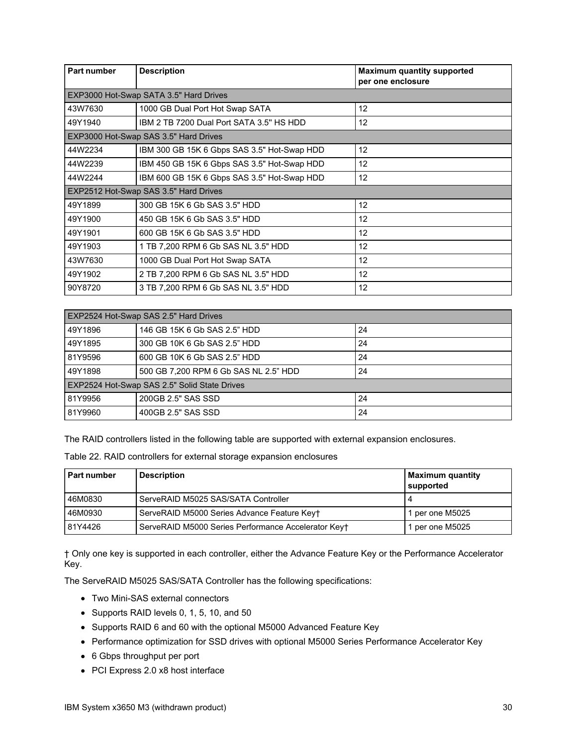| Part number | <b>Description</b>                          | <b>Maximum quantity supported</b><br>per one enclosure |
|-------------|---------------------------------------------|--------------------------------------------------------|
|             | EXP3000 Hot-Swap SATA 3.5" Hard Drives      |                                                        |
| 43W7630     | 1000 GB Dual Port Hot Swap SATA             | 12                                                     |
| 49Y1940     | IBM 2 TB 7200 Dual Port SATA 3.5" HS HDD    | 12                                                     |
|             | EXP3000 Hot-Swap SAS 3.5" Hard Drives       |                                                        |
| 44W2234     | IBM 300 GB 15K 6 Gbps SAS 3.5" Hot-Swap HDD | 12                                                     |
| 44W2239     | IBM 450 GB 15K 6 Gbps SAS 3.5" Hot-Swap HDD | $12 \overline{ }$                                      |
| 44W2244     | IBM 600 GB 15K 6 Gbps SAS 3.5" Hot-Swap HDD | 12                                                     |
|             | EXP2512 Hot-Swap SAS 3.5" Hard Drives       |                                                        |
| 49Y1899     | 300 GB 15K 6 Gb SAS 3.5" HDD                | 12                                                     |
| 49Y1900     | 450 GB 15K 6 Gb SAS 3.5" HDD                | $12 \overline{ }$                                      |
| 49Y1901     | 600 GB 15K 6 Gb SAS 3.5" HDD                | $12 \overline{ }$                                      |
| 49Y1903     | 1 TB 7,200 RPM 6 Gb SAS NL 3.5" HDD         | 12                                                     |
| 43W7630     | 1000 GB Dual Port Hot Swap SATA             | 12                                                     |
| 49Y1902     | 2 TB 7,200 RPM 6 Gb SAS NL 3.5" HDD         | 12                                                     |
| 90Y8720     | 3 TB 7,200 RPM 6 Gb SAS NL 3.5" HDD         | 12                                                     |

| EXP2524 Hot-Swap SAS 2.5" Hard Drives        |                                       |    |
|----------------------------------------------|---------------------------------------|----|
| 49Y1896                                      | 146 GB 15K 6 Gb SAS 2.5" HDD          | 24 |
| 49Y1895                                      | 300 GB 10K 6 Gb SAS 2.5" HDD          | 24 |
| 81Y9596                                      | 600 GB 10K 6 Gb SAS 2.5" HDD          | 24 |
| 49Y1898                                      | 500 GB 7,200 RPM 6 Gb SAS NL 2.5" HDD | 24 |
| EXP2524 Hot-Swap SAS 2.5" Solid State Drives |                                       |    |
| 81Y9956                                      | 200GB 2.5" SAS SSD                    | 24 |
| 81Y9960                                      | 400GB 2.5" SAS SSD                    | 24 |

The RAID controllers listed in the following table are supported with external expansion enclosures.

| Table 22. RAID controllers for external storage expansion enclosures |  |  |  |
|----------------------------------------------------------------------|--|--|--|
|----------------------------------------------------------------------|--|--|--|

| Part number | <b>Description</b>                                  | <b>Maximum quantity</b><br>supported |
|-------------|-----------------------------------------------------|--------------------------------------|
| 46M0830     | ServeRAID M5025 SAS/SATA Controller                 |                                      |
| 46M0930     | ServeRAID M5000 Series Advance Feature Keyt         | 1 per one M5025                      |
| 81Y4426     | ServeRAID M5000 Series Performance Accelerator Keyt | per one M5025                        |

† Only one key is supported in each controller, either the Advance Feature Key or the Performance Accelerator Key.

The ServeRAID M5025 SAS/SATA Controller has the following specifications:

- Two Mini-SAS external connectors
- Supports RAID levels 0, 1, 5, 10, and 50
- Supports RAID 6 and 60 with the optional M5000 Advanced Feature Key
- Performance optimization for SSD drives with optional M5000 Series Performance Accelerator Key
- 6 Gbps throughput per port
- PCI Express 2.0 x8 host interface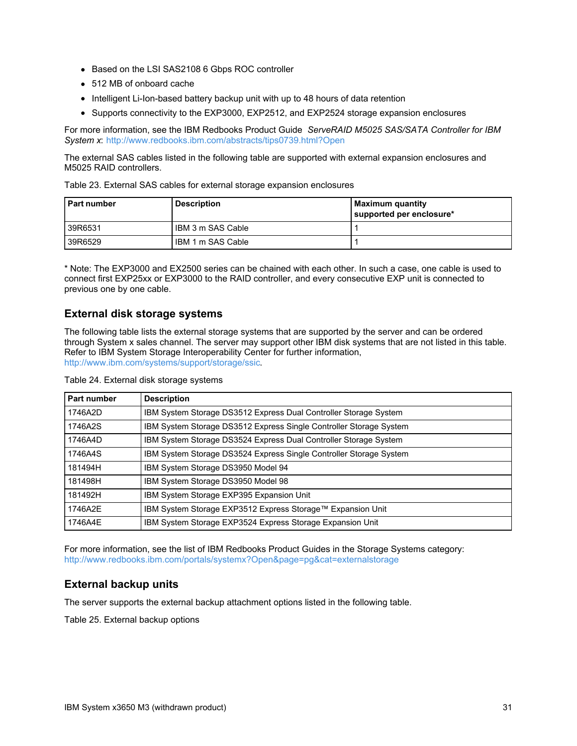- Based on the LSI SAS2108 6 Gbps ROC controller
- 512 MB of onboard cache
- Intelligent Li-Ion-based battery backup unit with up to 48 hours of data retention
- Supports connectivity to the EXP3000, EXP2512, and EXP2524 storage expansion enclosures

For more information, see the IBM Redbooks Product Guide *ServeRAID M5025 SAS/SATA Controller for IBM System x*: <http://www.redbooks.ibm.com/abstracts/tips0739.html?Open>

The external SAS cables listed in the following table are supported with external expansion enclosures and M5025 RAID controllers.

Table 23. External SAS cables for external storage expansion enclosures

| Part number | <b>Description</b> | Maximum quantity<br>supported per enclosure* |
|-------------|--------------------|----------------------------------------------|
| 39R6531     | IBM 3 m SAS Cable  |                                              |
| 39R6529     | IBM 1 m SAS Cable  |                                              |

\* Note: The EXP3000 and EX2500 series can be chained with each other. In such a case, one cable is used to connect first EXP25xx or EXP3000 to the RAID controller, and every consecutive EXP unit is connected to previous one by one cable.

#### **External disk storage systems**

The following table lists the external storage systems that are supported by the server and can be ordered through System x sales channel. The server may support other IBM disk systems that are not listed in this table. Refer to IBM System Storage Interoperability Center for further information, [http://www.ibm.com/systems/support/storage/ssic.](http://www.ibm.com/systems/support/storage/ssic)

| Table 24. External disk storage systems |  |  |  |  |
|-----------------------------------------|--|--|--|--|
|-----------------------------------------|--|--|--|--|

| Part number | <b>Description</b>                                                 |
|-------------|--------------------------------------------------------------------|
| 1746A2D     | IBM System Storage DS3512 Express Dual Controller Storage System   |
| 1746A2S     | IBM System Storage DS3512 Express Single Controller Storage System |
| 1746A4D     | IBM System Storage DS3524 Express Dual Controller Storage System   |
| 1746A4S     | IBM System Storage DS3524 Express Single Controller Storage System |
| 181494H     | IBM System Storage DS3950 Model 94                                 |
| 181498H     | IBM System Storage DS3950 Model 98                                 |
| 181492H     | IBM System Storage EXP395 Expansion Unit                           |
| 1746A2E     | IBM System Storage EXP3512 Express Storage™ Expansion Unit         |
| 1746A4E     | IBM System Storage EXP3524 Express Storage Expansion Unit          |

For more information, see the list of IBM Redbooks Product Guides in the Storage Systems category: <http://www.redbooks.ibm.com/portals/systemx?Open&page=pg&cat=externalstorage>

### **External backup units**

The server supports the external backup attachment options listed in the following table.

Table 25. External backup options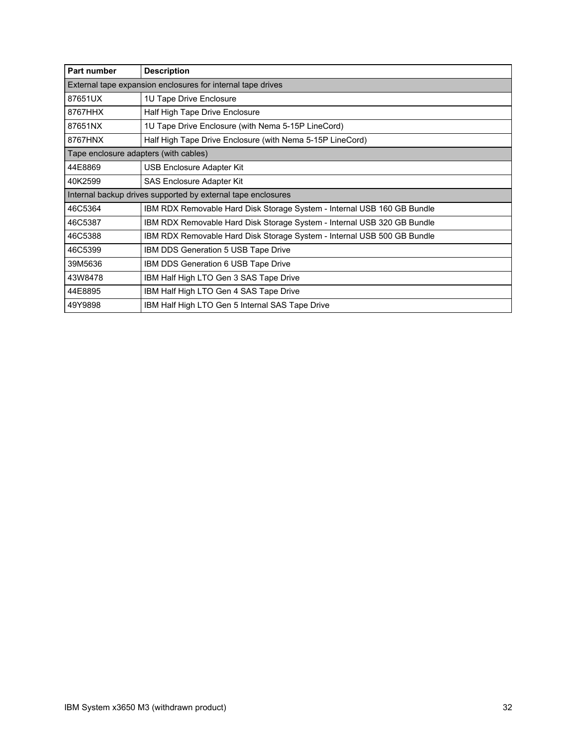| Part number                           | <b>Description</b>                                                      |  |
|---------------------------------------|-------------------------------------------------------------------------|--|
|                                       | External tape expansion enclosures for internal tape drives             |  |
| 87651UX                               | 1U Tape Drive Enclosure                                                 |  |
| 8767HHX                               | Half High Tape Drive Enclosure                                          |  |
| 87651NX                               | 1U Tape Drive Enclosure (with Nema 5-15P LineCord)                      |  |
| 8767HNX                               | Half High Tape Drive Enclosure (with Nema 5-15P LineCord)               |  |
| Tape enclosure adapters (with cables) |                                                                         |  |
| 44E8869                               | USB Enclosure Adapter Kit                                               |  |
| 40K2599                               | <b>SAS Enclosure Adapter Kit</b>                                        |  |
|                                       | Internal backup drives supported by external tape enclosures            |  |
| 46C5364                               | IBM RDX Removable Hard Disk Storage System - Internal USB 160 GB Bundle |  |
| 46C5387                               | IBM RDX Removable Hard Disk Storage System - Internal USB 320 GB Bundle |  |
| 46C5388                               | IBM RDX Removable Hard Disk Storage System - Internal USB 500 GB Bundle |  |
| 46C5399                               | IBM DDS Generation 5 USB Tape Drive                                     |  |
| 39M5636                               | IBM DDS Generation 6 USB Tape Drive                                     |  |
| 43W8478                               | IBM Half High LTO Gen 3 SAS Tape Drive                                  |  |
| 44E8895                               | IBM Half High LTO Gen 4 SAS Tape Drive                                  |  |
| 49Y9898                               | IBM Half High LTO Gen 5 Internal SAS Tape Drive                         |  |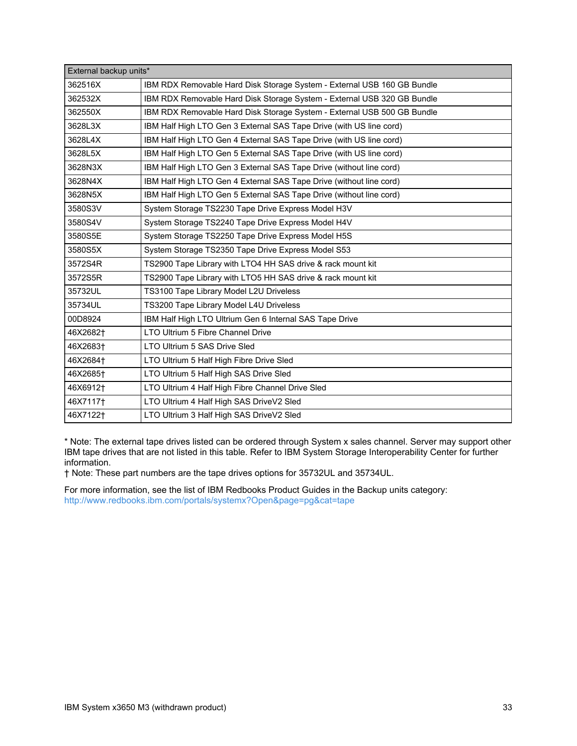| External backup units* |                                                                         |
|------------------------|-------------------------------------------------------------------------|
| 362516X                | IBM RDX Removable Hard Disk Storage System - External USB 160 GB Bundle |
| 362532X                | IBM RDX Removable Hard Disk Storage System - External USB 320 GB Bundle |
| 362550X                | IBM RDX Removable Hard Disk Storage System - External USB 500 GB Bundle |
| 3628L3X                | IBM Half High LTO Gen 3 External SAS Tape Drive (with US line cord)     |
| 3628L4X                | IBM Half High LTO Gen 4 External SAS Tape Drive (with US line cord)     |
| 3628L5X                | IBM Half High LTO Gen 5 External SAS Tape Drive (with US line cord)     |
| 3628N3X                | IBM Half High LTO Gen 3 External SAS Tape Drive (without line cord)     |
| 3628N4X                | IBM Half High LTO Gen 4 External SAS Tape Drive (without line cord)     |
| 3628N5X                | IBM Half High LTO Gen 5 External SAS Tape Drive (without line cord)     |
| 3580S3V                | System Storage TS2230 Tape Drive Express Model H3V                      |
| 3580S4V                | System Storage TS2240 Tape Drive Express Model H4V                      |
| 3580S5E                | System Storage TS2250 Tape Drive Express Model H5S                      |
| 3580S5X                | System Storage TS2350 Tape Drive Express Model S53                      |
| 3572S4R                | TS2900 Tape Library with LTO4 HH SAS drive & rack mount kit             |
| 3572S5R                | TS2900 Tape Library with LTO5 HH SAS drive & rack mount kit             |
| 35732UL                | TS3100 Tape Library Model L2U Driveless                                 |
| 35734UL                | TS3200 Tape Library Model L4U Driveless                                 |
| 00D8924                | IBM Half High LTO Ultrium Gen 6 Internal SAS Tape Drive                 |
| 46X2682 <sup>+</sup>   | LTO Ultrium 5 Fibre Channel Drive                                       |
| 46X2683 <sup>+</sup>   | LTO Ultrium 5 SAS Drive Sled                                            |
| 46X2684+               | LTO Ultrium 5 Half High Fibre Drive Sled                                |
| 46X2685 <sup>+</sup>   | LTO Ultrium 5 Half High SAS Drive Sled                                  |
| 46X6912+               | LTO Ultrium 4 Half High Fibre Channel Drive Sled                        |
| 46X7117 <sup>+</sup>   | LTO Ultrium 4 Half High SAS DriveV2 Sled                                |
| 46X7122 <sup>+</sup>   | LTO Ultrium 3 Half High SAS DriveV2 Sled                                |

\* Note: The external tape drives listed can be ordered through System x sales channel. Server may support other IBM tape drives that are not listed in this table. Refer to IBM System Storage Interoperability Center for further information.

† Note: These part numbers are the tape drives options for 35732UL and 35734UL.

For more information, see the list of IBM Redbooks Product Guides in the Backup units category: <http://www.redbooks.ibm.com/portals/systemx?Open&page=pg&cat=tape>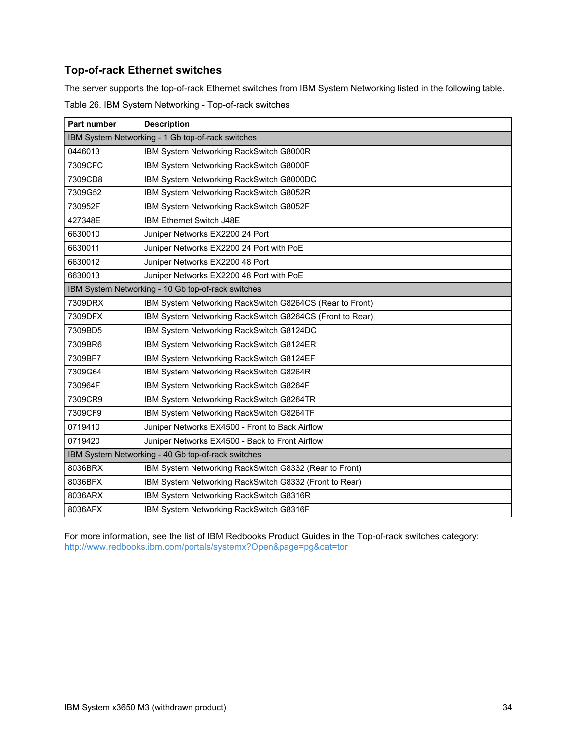## **Top-of-rack Ethernet switches**

The server supports the top-of-rack Ethernet switches from IBM System Networking listed in the following table. Table 26. IBM System Networking - Top-of-rack switches

| <b>Part number</b>                                 | <b>Description</b>                                       |  |
|----------------------------------------------------|----------------------------------------------------------|--|
| IBM System Networking - 1 Gb top-of-rack switches  |                                                          |  |
| 0446013                                            | IBM System Networking RackSwitch G8000R                  |  |
| 7309CFC                                            | IBM System Networking RackSwitch G8000F                  |  |
| 7309CD8                                            | IBM System Networking RackSwitch G8000DC                 |  |
| 7309G52                                            | IBM System Networking RackSwitch G8052R                  |  |
| 730952F                                            | IBM System Networking RackSwitch G8052F                  |  |
| 427348E                                            | IBM Ethernet Switch J48E                                 |  |
| 6630010                                            | Juniper Networks EX2200 24 Port                          |  |
| 6630011                                            | Juniper Networks EX2200 24 Port with PoE                 |  |
| 6630012                                            | Juniper Networks EX2200 48 Port                          |  |
| 6630013                                            | Juniper Networks EX2200 48 Port with PoE                 |  |
|                                                    | IBM System Networking - 10 Gb top-of-rack switches       |  |
| 7309DRX                                            | IBM System Networking RackSwitch G8264CS (Rear to Front) |  |
| 7309DFX                                            | IBM System Networking RackSwitch G8264CS (Front to Rear) |  |
| 7309BD5                                            | IBM System Networking RackSwitch G8124DC                 |  |
| 7309BR6                                            | IBM System Networking RackSwitch G8124ER                 |  |
| 7309BF7                                            | IBM System Networking RackSwitch G8124EF                 |  |
| 7309G64                                            | IBM System Networking RackSwitch G8264R                  |  |
| 730964F                                            | IBM System Networking RackSwitch G8264F                  |  |
| 7309CR9                                            | IBM System Networking RackSwitch G8264TR                 |  |
| 7309CF9                                            | IBM System Networking RackSwitch G8264TF                 |  |
| 0719410                                            | Juniper Networks EX4500 - Front to Back Airflow          |  |
| 0719420                                            | Juniper Networks EX4500 - Back to Front Airflow          |  |
| IBM System Networking - 40 Gb top-of-rack switches |                                                          |  |
| 8036BRX                                            | IBM System Networking RackSwitch G8332 (Rear to Front)   |  |
| 8036BFX                                            | IBM System Networking RackSwitch G8332 (Front to Rear)   |  |
| 8036ARX                                            | IBM System Networking RackSwitch G8316R                  |  |
| 8036AFX                                            | IBM System Networking RackSwitch G8316F                  |  |

For more information, see the list of IBM Redbooks Product Guides in the Top-of-rack switches category: <http://www.redbooks.ibm.com/portals/systemx?Open&page=pg&cat=tor>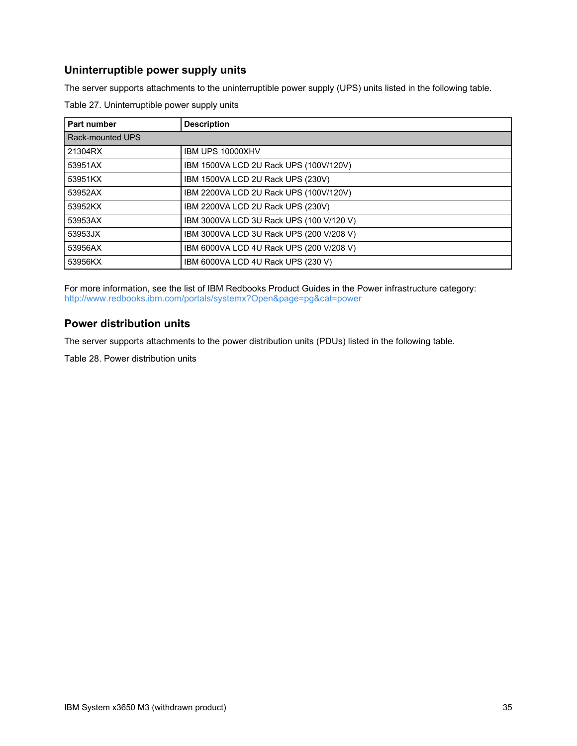## **Uninterruptible power supply units**

The server supports attachments to the uninterruptible power supply (UPS) units listed in the following table.

| Part number      | <b>Description</b>                       |  |  |
|------------------|------------------------------------------|--|--|
| Rack-mounted UPS |                                          |  |  |
| 21304RX          | IBM UPS 10000XHV                         |  |  |
| 53951AX          | IBM 1500VA LCD 2U Rack UPS (100V/120V)   |  |  |
| 53951KX          | IBM 1500VA LCD 2U Rack UPS (230V)        |  |  |
| 53952AX          | IBM 2200VA LCD 2U Rack UPS (100V/120V)   |  |  |
| 53952KX          | IBM 2200VA LCD 2U Rack UPS (230V)        |  |  |
| 53953AX          | IBM 3000VA LCD 3U Rack UPS (100 V/120 V) |  |  |
| 53953JX          | IBM 3000VA LCD 3U Rack UPS (200 V/208 V) |  |  |
| 53956AX          | IBM 6000VA LCD 4U Rack UPS (200 V/208 V) |  |  |
| 53956KX          | IBM 6000VA LCD 4U Rack UPS (230 V)       |  |  |

Table 27. Uninterruptible power supply units

For more information, see the list of IBM Redbooks Product Guides in the Power infrastructure category: <http://www.redbooks.ibm.com/portals/systemx?Open&page=pg&cat=power>

## **Power distribution units**

The server supports attachments to the power distribution units (PDUs) listed in the following table.

Table 28. Power distribution units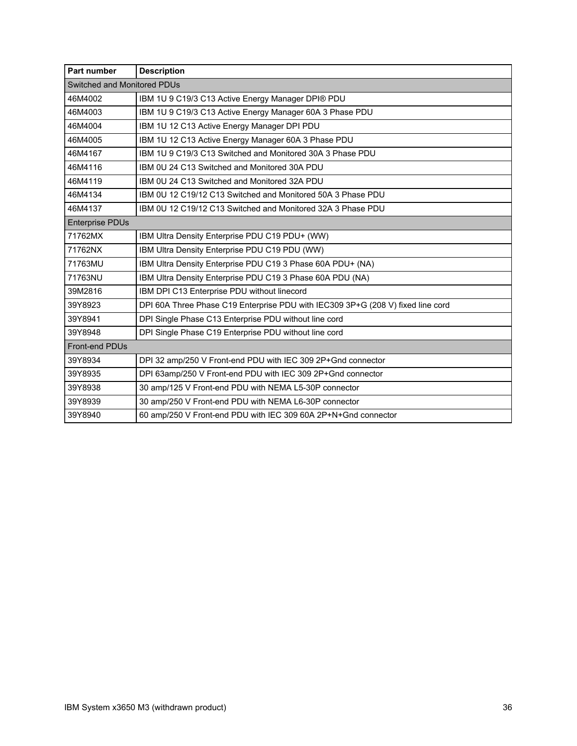| Part number                 | <b>Description</b>                                                              |  |  |  |
|-----------------------------|---------------------------------------------------------------------------------|--|--|--|
| Switched and Monitored PDUs |                                                                                 |  |  |  |
| 46M4002                     | IBM 1U 9 C19/3 C13 Active Energy Manager DPI® PDU                               |  |  |  |
| 46M4003                     | IBM 1U 9 C19/3 C13 Active Energy Manager 60A 3 Phase PDU                        |  |  |  |
| 46M4004                     | IBM 1U 12 C13 Active Energy Manager DPI PDU                                     |  |  |  |
| 46M4005                     | IBM 1U 12 C13 Active Energy Manager 60A 3 Phase PDU                             |  |  |  |
| 46M4167                     | IBM 1U 9 C19/3 C13 Switched and Monitored 30A 3 Phase PDU                       |  |  |  |
| 46M4116                     | IBM 0U 24 C13 Switched and Monitored 30A PDU                                    |  |  |  |
| 46M4119                     | IBM 0U 24 C13 Switched and Monitored 32A PDU                                    |  |  |  |
| 46M4134                     | IBM 0U 12 C19/12 C13 Switched and Monitored 50A 3 Phase PDU                     |  |  |  |
| 46M4137                     | IBM 0U 12 C19/12 C13 Switched and Monitored 32A 3 Phase PDU                     |  |  |  |
| <b>Enterprise PDUs</b>      |                                                                                 |  |  |  |
| 71762MX                     | IBM Ultra Density Enterprise PDU C19 PDU+ (WW)                                  |  |  |  |
| 71762NX                     | IBM Ultra Density Enterprise PDU C19 PDU (WW)                                   |  |  |  |
| 71763MU                     | IBM Ultra Density Enterprise PDU C19 3 Phase 60A PDU+ (NA)                      |  |  |  |
| 71763NU                     | IBM Ultra Density Enterprise PDU C19 3 Phase 60A PDU (NA)                       |  |  |  |
| 39M2816                     | IBM DPI C13 Enterprise PDU without linecord                                     |  |  |  |
| 39Y8923                     | DPI 60A Three Phase C19 Enterprise PDU with IEC309 3P+G (208 V) fixed line cord |  |  |  |
| 39Y8941                     | DPI Single Phase C13 Enterprise PDU without line cord                           |  |  |  |
| 39Y8948                     | DPI Single Phase C19 Enterprise PDU without line cord                           |  |  |  |
| <b>Front-end PDUs</b>       |                                                                                 |  |  |  |
| 39Y8934                     | DPI 32 amp/250 V Front-end PDU with IEC 309 2P+Gnd connector                    |  |  |  |
| 39Y8935                     | DPI 63amp/250 V Front-end PDU with IEC 309 2P+Gnd connector                     |  |  |  |
| 39Y8938                     | 30 amp/125 V Front-end PDU with NEMA L5-30P connector                           |  |  |  |
| 39Y8939                     | 30 amp/250 V Front-end PDU with NEMA L6-30P connector                           |  |  |  |
| 39Y8940                     | 60 amp/250 V Front-end PDU with IEC 309 60A 2P+N+Gnd connector                  |  |  |  |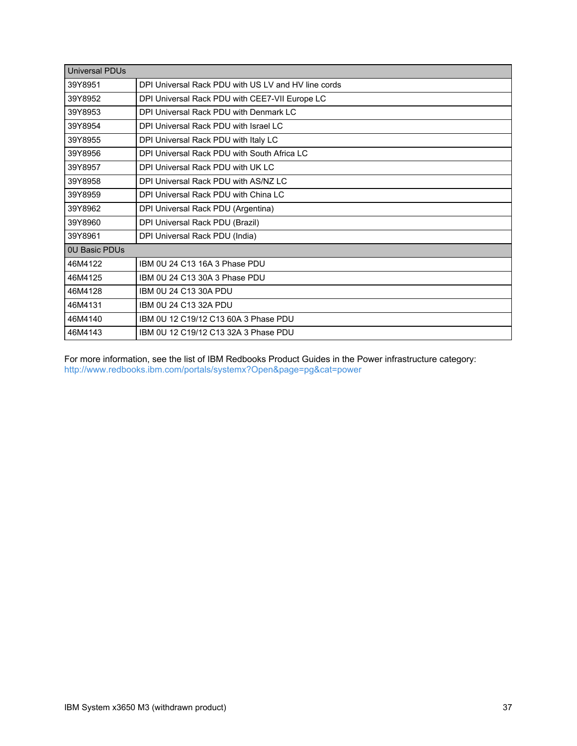| <b>Universal PDUs</b> |                                                     |  |  |
|-----------------------|-----------------------------------------------------|--|--|
| 39Y8951               | DPI Universal Rack PDU with US LV and HV line cords |  |  |
| 39Y8952               | DPI Universal Rack PDU with CEE7-VII Europe LC      |  |  |
| 39Y8953               | DPI Universal Rack PDU with Denmark LC              |  |  |
| 39Y8954               | DPI Universal Rack PDU with Israel LC               |  |  |
| 39Y8955               | DPI Universal Rack PDU with Italy LC                |  |  |
| 39Y8956               | DPI Universal Rack PDU with South Africa LC         |  |  |
| 39Y8957               | DPI Universal Rack PDU with UK LC                   |  |  |
| 39Y8958               | DPI Universal Rack PDU with AS/NZ LC                |  |  |
| 39Y8959               | DPI Universal Rack PDU with China LC                |  |  |
| 39Y8962               | DPI Universal Rack PDU (Argentina)                  |  |  |
| 39Y8960               | DPI Universal Rack PDU (Brazil)                     |  |  |
| 39Y8961               | DPI Universal Rack PDU (India)                      |  |  |
| <b>0U Basic PDUs</b>  |                                                     |  |  |
| 46M4122               | IBM 0U 24 C13 16A 3 Phase PDU                       |  |  |
| 46M4125               | IBM 0U 24 C13 30A 3 Phase PDU                       |  |  |
| 46M4128               | IBM 0U 24 C13 30A PDU                               |  |  |
| 46M4131               | IBM 0U 24 C13 32A PDU                               |  |  |
| 46M4140               | IBM 0U 12 C19/12 C13 60A 3 Phase PDU                |  |  |
| 46M4143               | IBM 0U 12 C19/12 C13 32A 3 Phase PDU                |  |  |

For more information, see the list of IBM Redbooks Product Guides in the Power infrastructure category: <http://www.redbooks.ibm.com/portals/systemx?Open&page=pg&cat=power>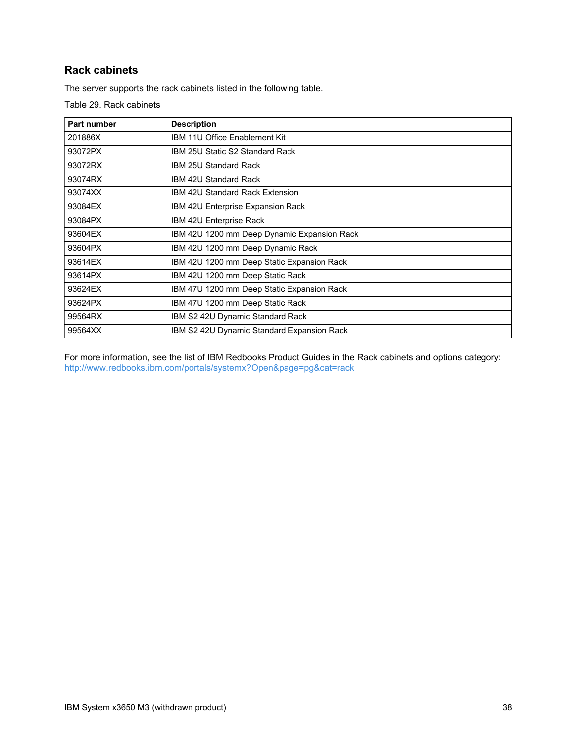## **Rack cabinets**

The server supports the rack cabinets listed in the following table.

Table 29. Rack cabinets

| Part number | <b>Description</b>                                |  |
|-------------|---------------------------------------------------|--|
| 201886X     | IBM 11U Office Enablement Kit                     |  |
| 93072PX     | IBM 25U Static S2 Standard Rack                   |  |
| 93072RX     | <b>IBM 25U Standard Rack</b>                      |  |
| 93074RX     | <b>IBM 42U Standard Rack</b>                      |  |
| 93074XX     | IBM 42U Standard Rack Extension                   |  |
| 93084EX     | IBM 42U Enterprise Expansion Rack                 |  |
| 93084PX     | IBM 42U Enterprise Rack                           |  |
| 93604EX     | IBM 42U 1200 mm Deep Dynamic Expansion Rack       |  |
| 93604PX     | IBM 42U 1200 mm Deep Dynamic Rack                 |  |
| 93614EX     | IBM 42U 1200 mm Deep Static Expansion Rack        |  |
| 93614PX     | IBM 42U 1200 mm Deep Static Rack                  |  |
| 93624EX     | IBM 47U 1200 mm Deep Static Expansion Rack        |  |
| 93624PX     | IBM 47U 1200 mm Deep Static Rack                  |  |
| 99564RX     | IBM S2 42U Dynamic Standard Rack                  |  |
| 99564XX     | <b>IBM S2 42U Dynamic Standard Expansion Rack</b> |  |

For more information, see the list of IBM Redbooks Product Guides in the Rack cabinets and options category: <http://www.redbooks.ibm.com/portals/systemx?Open&page=pg&cat=rack>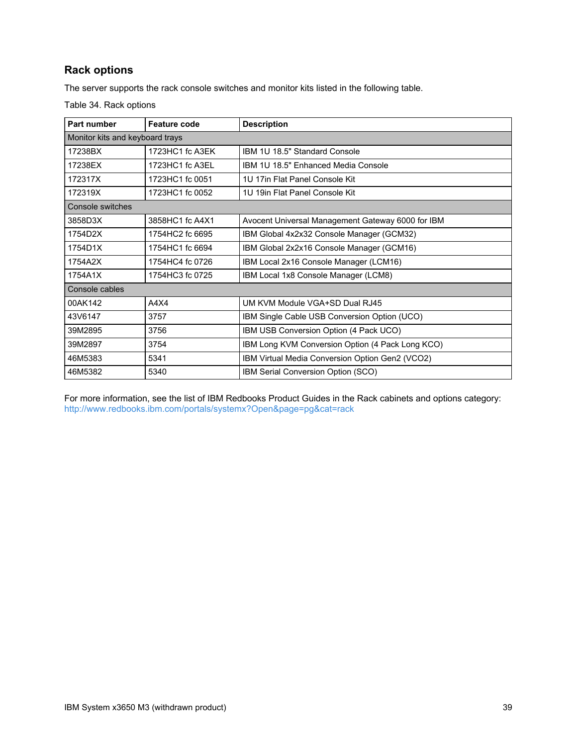## **Rack options**

The server supports the rack console switches and monitor kits listed in the following table.

Table 34. Rack options

| Part number                     | <b>Feature code</b> | <b>Description</b>                                |  |  |  |
|---------------------------------|---------------------|---------------------------------------------------|--|--|--|
| Monitor kits and keyboard trays |                     |                                                   |  |  |  |
| 17238BX                         | 1723HC1 fc A3EK     | IBM 1U 18.5" Standard Console                     |  |  |  |
| 17238EX                         | 1723HC1 fc A3EL     | IBM 1U 18.5" Enhanced Media Console               |  |  |  |
| 172317X                         | 1723HC1 fc 0051     | 1U 17in Flat Panel Console Kit                    |  |  |  |
| 172319X                         | 1723HC1 fc 0052     | 1U 19in Flat Panel Console Kit                    |  |  |  |
| Console switches                |                     |                                                   |  |  |  |
| 3858D3X                         | 3858HC1 fc A4X1     | Avocent Universal Management Gateway 6000 for IBM |  |  |  |
| 1754D2X                         | 1754HC2 fc 6695     | IBM Global 4x2x32 Console Manager (GCM32)         |  |  |  |
| 1754D1X                         | 1754HC1 fc 6694     | IBM Global 2x2x16 Console Manager (GCM16)         |  |  |  |
| 1754A2X                         | 1754HC4 fc 0726     | IBM Local 2x16 Console Manager (LCM16)            |  |  |  |
| 1754A1X                         | 1754HC3 fc 0725     | IBM Local 1x8 Console Manager (LCM8)              |  |  |  |
| Console cables                  |                     |                                                   |  |  |  |
| 00AK142                         | A4X4                | UM KVM Module VGA+SD Dual RJ45                    |  |  |  |
| 43V6147                         | 3757                | IBM Single Cable USB Conversion Option (UCO)      |  |  |  |
| 39M2895                         | 3756                | IBM USB Conversion Option (4 Pack UCO)            |  |  |  |
| 39M2897                         | 3754                | IBM Long KVM Conversion Option (4 Pack Long KCO)  |  |  |  |
| 46M5383                         | 5341                | IBM Virtual Media Conversion Option Gen2 (VCO2)   |  |  |  |
| 46M5382                         | 5340                | IBM Serial Conversion Option (SCO)                |  |  |  |

For more information, see the list of IBM Redbooks Product Guides in the Rack cabinets and options category: <http://www.redbooks.ibm.com/portals/systemx?Open&page=pg&cat=rack>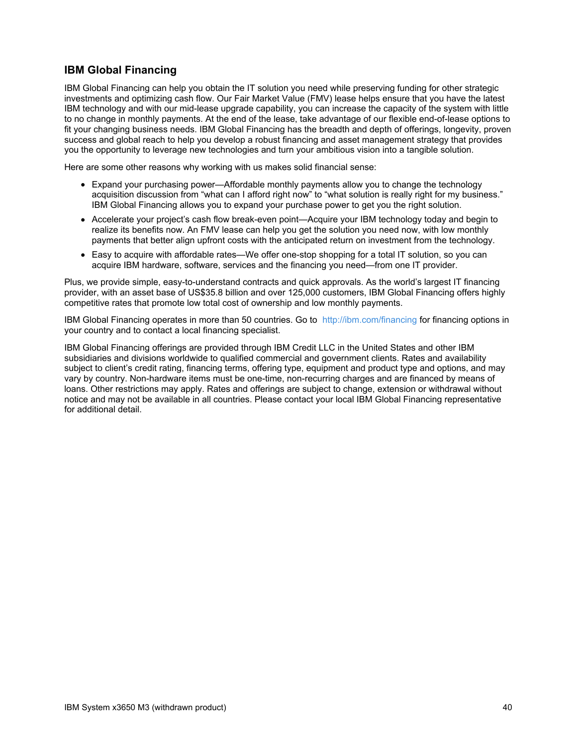## **IBM Global Financing**

IBM Global Financing can help you obtain the IT solution you need while preserving funding for other strategic investments and optimizing cash flow. Our Fair Market Value (FMV) lease helps ensure that you have the latest IBM technology and with our mid-lease upgrade capability, you can increase the capacity of the system with little to no change in monthly payments. At the end of the lease, take advantage of our flexible end-of-lease options to fit your changing business needs. IBM Global Financing has the breadth and depth of offerings, longevity, proven success and global reach to help you develop a robust financing and asset management strategy that provides you the opportunity to leverage new technologies and turn your ambitious vision into a tangible solution.

Here are some other reasons why working with us makes solid financial sense:

- Expand your purchasing power—Affordable monthly payments allow you to change the technology acquisition discussion from "what can I afford right now" to "what solution is really right for my business." IBM Global Financing allows you to expand your purchase power to get you the right solution.
- Accelerate your project's cash flow break-even point—Acquire your IBM technology today and begin to realize its benefits now. An FMV lease can help you get the solution you need now, with low monthly payments that better align upfront costs with the anticipated return on investment from the technology.
- Easy to acquire with affordable rates—We offer one-stop shopping for a total IT solution, so you can acquire IBM hardware, software, services and the financing you need—from one IT provider.

Plus, we provide simple, easy-to-understand contracts and quick approvals. As the world's largest IT financing provider, with an asset base of US\$35.8 billion and over 125,000 customers, IBM Global Financing offers highly competitive rates that promote low total cost of ownership and low monthly payments.

IBM Global Financing operates in more than 50 countries. Go to <http://ibm.com/financing> for financing options in your country and to contact a local financing specialist.

IBM Global Financing offerings are provided through IBM Credit LLC in the United States and other IBM subsidiaries and divisions worldwide to qualified commercial and government clients. Rates and availability subject to client's credit rating, financing terms, offering type, equipment and product type and options, and may vary by country. Non-hardware items must be one-time, non-recurring charges and are financed by means of loans. Other restrictions may apply. Rates and offerings are subject to change, extension or withdrawal without notice and may not be available in all countries. Please contact your local IBM Global Financing representative for additional detail.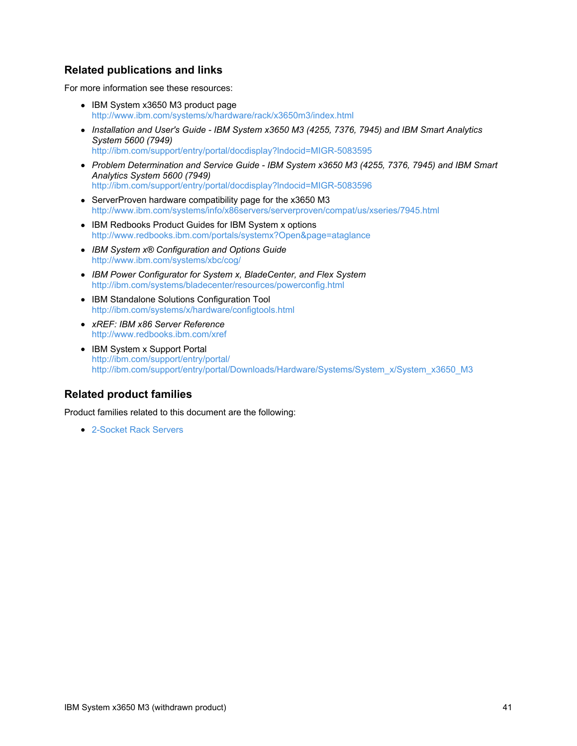## **Related publications and links**

For more information see these resources:

- IBM System x3650 M3 product page <http://www.ibm.com/systems/x/hardware/rack/x3650m3/index.html>
- *Installation and User's Guide - IBM System x3650 M3 (4255, 7376, 7945) and IBM Smart Analytics System 5600 (7949)* <http://ibm.com/support/entry/portal/docdisplay?lndocid=MIGR-5083595>
- *Problem Determination and Service Guide - IBM System x3650 M3 (4255, 7376, 7945) and IBM Smart Analytics System 5600 (7949)* <http://ibm.com/support/entry/portal/docdisplay?lndocid=MIGR-5083596>
- ServerProven hardware compatibility page for the x3650 M3 <http://www.ibm.com/systems/info/x86servers/serverproven/compat/us/xseries/7945.html>
- IBM Redbooks Product Guides for IBM System x options <http://www.redbooks.ibm.com/portals/systemx?Open&page=ataglance>
- *IBM System x® Configuration and Options Guide* <http://www.ibm.com/systems/xbc/cog/>
- *IBM Power Configurator for System x, BladeCenter, and Flex System* <http://ibm.com/systems/bladecenter/resources/powerconfig.html>
- IBM Standalone Solutions Configuration Tool <http://ibm.com/systems/x/hardware/configtools.html>
- *xREF: IBM x86 Server Reference* <http://www.redbooks.ibm.com/xref>
- IBM System x Support Portal <http://ibm.com/support/entry/portal/> [http://ibm.com/support/entry/portal/Downloads/Hardware/Systems/System\\_x/System\\_x3650\\_M3](http://ibm.com/support/entry/portal/Downloads/Hardware/Systems/System_x/System_x3650_M3)

## **Related product families**

Product families related to this document are the following:

● [2-Socket](https://lenovopress.com/servers/racks/2s) Rack Servers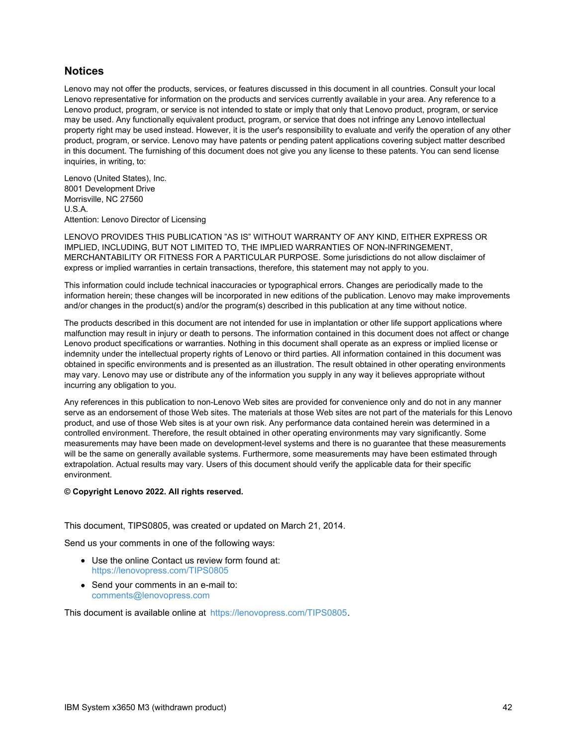### **Notices**

Lenovo may not offer the products, services, or features discussed in this document in all countries. Consult your local Lenovo representative for information on the products and services currently available in your area. Any reference to a Lenovo product, program, or service is not intended to state or imply that only that Lenovo product, program, or service may be used. Any functionally equivalent product, program, or service that does not infringe any Lenovo intellectual property right may be used instead. However, it is the user's responsibility to evaluate and verify the operation of any other product, program, or service. Lenovo may have patents or pending patent applications covering subject matter described in this document. The furnishing of this document does not give you any license to these patents. You can send license inquiries, in writing, to:

Lenovo (United States), Inc. 8001 Development Drive Morrisville, NC 27560 U.S.A. Attention: Lenovo Director of Licensing

LENOVO PROVIDES THIS PUBLICATION "AS IS" WITHOUT WARRANTY OF ANY KIND, EITHER EXPRESS OR IMPLIED, INCLUDING, BUT NOT LIMITED TO, THE IMPLIED WARRANTIES OF NON-INFRINGEMENT, MERCHANTABILITY OR FITNESS FOR A PARTICULAR PURPOSE. Some jurisdictions do not allow disclaimer of express or implied warranties in certain transactions, therefore, this statement may not apply to you.

This information could include technical inaccuracies or typographical errors. Changes are periodically made to the information herein; these changes will be incorporated in new editions of the publication. Lenovo may make improvements and/or changes in the product(s) and/or the program(s) described in this publication at any time without notice.

The products described in this document are not intended for use in implantation or other life support applications where malfunction may result in injury or death to persons. The information contained in this document does not affect or change Lenovo product specifications or warranties. Nothing in this document shall operate as an express or implied license or indemnity under the intellectual property rights of Lenovo or third parties. All information contained in this document was obtained in specific environments and is presented as an illustration. The result obtained in other operating environments may vary. Lenovo may use or distribute any of the information you supply in any way it believes appropriate without incurring any obligation to you.

Any references in this publication to non-Lenovo Web sites are provided for convenience only and do not in any manner serve as an endorsement of those Web sites. The materials at those Web sites are not part of the materials for this Lenovo product, and use of those Web sites is at your own risk. Any performance data contained herein was determined in a controlled environment. Therefore, the result obtained in other operating environments may vary significantly. Some measurements may have been made on development-level systems and there is no guarantee that these measurements will be the same on generally available systems. Furthermore, some measurements may have been estimated through extrapolation. Actual results may vary. Users of this document should verify the applicable data for their specific environment.

#### **© Copyright Lenovo 2022. All rights reserved.**

#### This document, TIPS0805, was created or updated on March 21, 2014.

Send us your comments in one of the following ways:

- Use the online Contact us review form found at: <https://lenovopress.com/TIPS0805>
- Send your comments in an e-mail to: [comments@lenovopress.com](mailto:comments@lenovopress.com?subject=Feedback for TIPS0805)

This document is available online at <https://lenovopress.com/TIPS0805>.